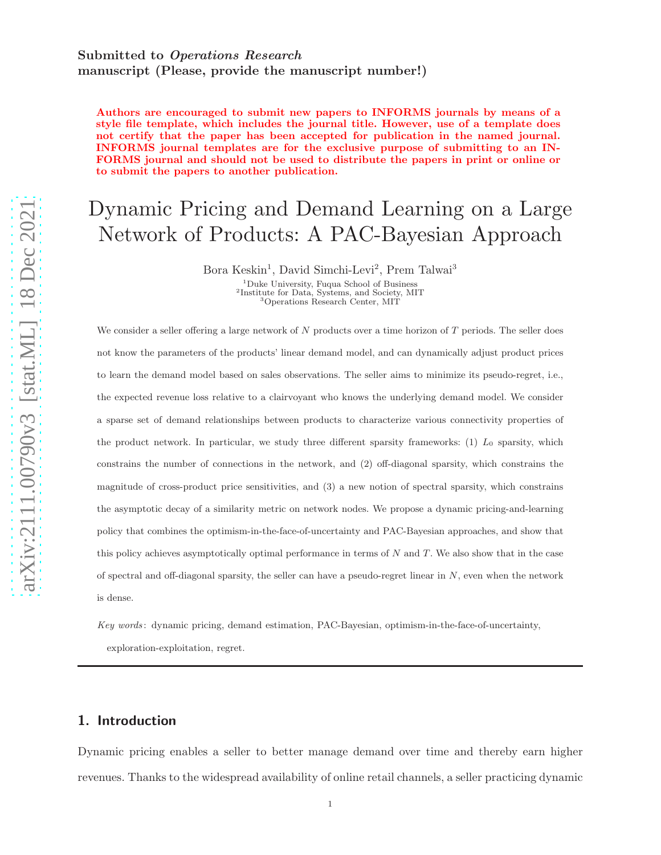# Submitted to Operations Research manuscript (Please, provide the manuscript number!)

Authors are encouraged to submit new papers to INFORMS journals by means of a style file template, which includes the journal title. However, use of a template does not certify that the paper has been accepted for publication in the named journal. INFORMS journal templates are for the exclusive purpose of submitting to an IN-FORMS journal and should not be used to distribute the papers in print or online or to submit the papers to another publication.

# Dynamic Pricing and Demand Learning on a Large Network of Products: A PAC-Bayesian Approach

Bora Keskin<sup>1</sup>, David Simchi-Levi<sup>2</sup>, Prem Talwai<sup>3</sup>

<sup>1</sup>Duke University, Fuqua School of Business 2 Institute for Data, Systems, and Society, MIT <sup>3</sup>Operations Research Center, MIT

We consider a seller offering a large network of  $N$  products over a time horizon of  $T$  periods. The seller does not know the parameters of the products' linear demand model, and can dynamically adjust product prices to learn the demand model based on sales observations. The seller aims to minimize its pseudo-regret, i.e., the expected revenue loss relative to a clairvoyant who knows the underlying demand model. We consider a sparse set of demand relationships between products to characterize various connectivity properties of the product network. In particular, we study three different sparsity frameworks:  $(1)$  L<sub>0</sub> sparsity, which constrains the number of connections in the network, and (2) off-diagonal sparsity, which constrains the magnitude of cross-product price sensitivities, and (3) a new notion of spectral sparsity, which constrains the asymptotic decay of a similarity metric on network nodes. We propose a dynamic pricing-and-learning policy that combines the optimism-in-the-face-of-uncertainty and PAC-Bayesian approaches, and show that this policy achieves asymptotically optimal performance in terms of  $N$  and  $T$ . We also show that in the case of spectral and off-diagonal sparsity, the seller can have a pseudo-regret linear in N, even when the network is dense.

Key words : dynamic pricing, demand estimation, PAC-Bayesian, optimism-in-the-face-of-uncertainty,

exploration-exploitation, regret.

# 1. Introduction

Dynamic pricing enables a seller to better manage demand over time and thereby earn higher revenues. Thanks to the widespread availability of online retail channels, a seller practicing dynamic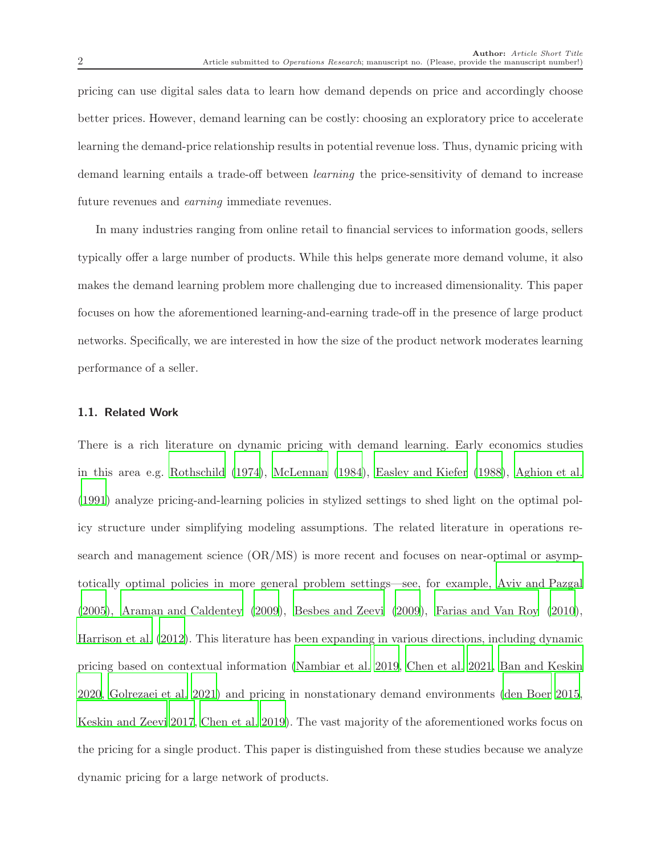pricing can use digital sales data to learn how demand depends on price and accordingly choose better prices. However, demand learning can be costly: choosing an exploratory price to accelerate learning the demand-price relationship results in potential revenue loss. Thus, dynamic pricing with demand learning entails a trade-off between *learning* the price-sensitivity of demand to increase future revenues and *earning* immediate revenues.

In many industries ranging from online retail to financial services to information goods, sellers typically offer a large number of products. While this helps generate more demand volume, it also makes the demand learning problem more challenging due to increased dimensionality. This paper focuses on how the aforementioned learning-and-earning trade-off in the presence of large product networks. Specifically, we are interested in how the size of the product network moderates learning performance of a seller.

#### 1.1. Related Work

There is a rich literature on dynamic pricing with demand learning. Early economics studies in this area e.g. [Rothschild \(1974\)](#page-35-0), [McLennan \(1984\)](#page-35-1), [Easley and Kiefer \(1988\)](#page-34-0), [Aghion et al.](#page-33-0) [\(1991](#page-33-0)) analyze pricing-and-learning policies in stylized settings to shed light on the optimal policy structure under simplifying modeling assumptions. The related literature in operations research and management science (OR/MS) is more recent and focuses on near-optimal or asymptotically optimal policies in more general problem settings—see, for example, [Aviv and Pazgal](#page-33-1) [\(2005](#page-33-1)), [Araman and Caldentey \(2009](#page-33-2)), [Besbes and Zeevi \(2009](#page-33-3)), [Farias and Van Roy \(2010\)](#page-34-1), [Harrison et al. \(2012\)](#page-34-2). This literature has been expanding in various directions, including dynamic pricing based on contextual information [\(Nambiar et al. 2019,](#page-35-2) [Chen et al. 2021,](#page-33-4) [Ban and Keskin](#page-33-5) [2020,](#page-33-5) [Golrezaei et al. 2021\)](#page-34-3) and pricing in nonstationary demand environments [\(den Boer 2015](#page-34-4), [Keskin and Zeevi 2017](#page-35-3), [Chen et al. 2019](#page-34-5)). The vast majority of the aforementioned works focus on the pricing for a single product. This paper is distinguished from these studies because we analyze dynamic pricing for a large network of products.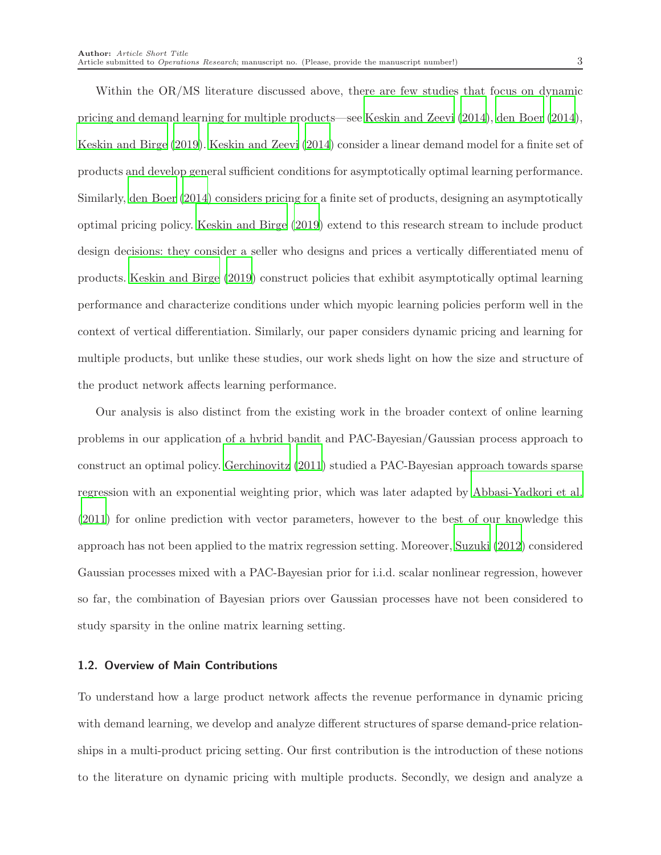Within the OR/MS literature discussed above, there are few studies that focus on dynamic pricing and demand learning for multiple products—see [Keskin and Zeevi \(2014\)](#page-35-4), [den Boer \(2014\)](#page-34-6), [Keskin and Birge \(2019\)](#page-34-7). [Keskin and Zeevi \(2014\)](#page-35-4) consider a linear demand model for a finite set of products and develop general sufficient conditions for asymptotically optimal learning performance. Similarly, [den Boer \(2014](#page-34-6)) considers pricing for a finite set of products, designing an asymptotically optimal pricing policy. [Keskin and Birge \(2019\)](#page-34-7) extend to this research stream to include product design decisions: they consider a seller who designs and prices a vertically differentiated menu of products. [Keskin and Birge \(2019](#page-34-7)) construct policies that exhibit asymptotically optimal learning performance and characterize conditions under which myopic learning policies perform well in the context of vertical differentiation. Similarly, our paper considers dynamic pricing and learning for multiple products, but unlike these studies, our work sheds light on how the size and structure of the product network affects learning performance.

Our analysis is also distinct from the existing work in the broader context of online learning problems in our application of a hybrid bandit and PAC-Bayesian/Gaussian process approach to construct an optimal policy. [Gerchinovitz \(2011](#page-34-8)) studied a PAC-Bayesian approach towards sparse regression with an exponential weighting prior, which was later adapted by [Abbasi-Yadkori et al.](#page-32-0) [\(2011](#page-32-0)) for online prediction with vector parameters, however to the best of our knowledge this approach has not been applied to the matrix regression setting. Moreover, [Suzuki \(2012\)](#page-35-5) considered Gaussian processes mixed with a PAC-Bayesian prior for i.i.d. scalar nonlinear regression, however so far, the combination of Bayesian priors over Gaussian processes have not been considered to study sparsity in the online matrix learning setting.

### 1.2. Overview of Main Contributions

To understand how a large product network affects the revenue performance in dynamic pricing with demand learning, we develop and analyze different structures of sparse demand-price relationships in a multi-product pricing setting. Our first contribution is the introduction of these notions to the literature on dynamic pricing with multiple products. Secondly, we design and analyze a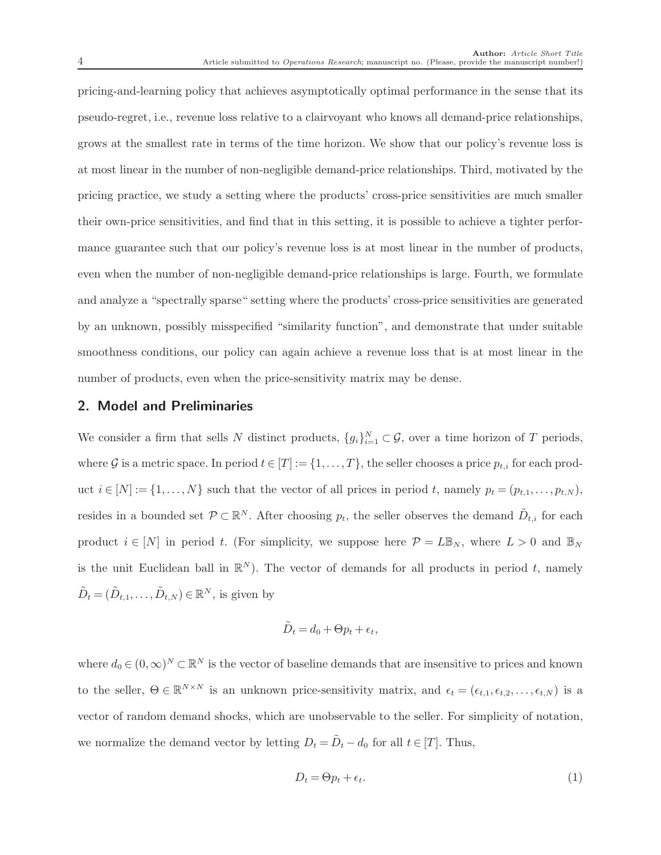pricing-and-learning policy that achieves asymptotically optimal performance in the sense that its pseudo-regret, i.e., revenue loss relative to a clairvoyant who knows all demand-price relationships, grows at the smallest rate in terms of the time horizon. We show that our policy's revenue loss is at most linear in the number of non-negligible demand-price relationships. Third, motivated by the pricing practice, we study a setting where the products' cross-price sensitivities are much smaller their own-price sensitivities, and find that in this setting, it is possible to achieve a tighter performance guarantee such that our policy's revenue loss is at most linear in the number of products, even when the number of non-negligible demand-price relationships is large. Fourth, we formulate and analyze a "spectrally sparse" setting where the products' cross-price sensitivities are generated by an unknown, possibly misspecified "similarity function", and demonstrate that under suitable smoothness conditions, our policy can again achieve a revenue loss that is at most linear in the number of products, even when the price-sensitivity matrix may be dense.

# 2. Model and Preliminaries

We consider a firm that sells N distinct products,  $\{g_i\}_{i=1}^N \subset \mathcal{G}$ , over a time horizon of T periods, where G is a metric space. In period  $t \in [T] := \{1, \ldots, T\}$ , the seller chooses a price  $p_{t,i}$  for each product  $i \in [N] := \{1, \ldots, N\}$  such that the vector of all prices in period t, namely  $p_t = (p_{t,1}, \ldots, p_{t,N})$ , resides in a bounded set  $\mathcal{P} \subset \mathbb{R}^N$ . After choosing  $p_t$ , the seller observes the demand  $\tilde{D}_{t,i}$  for each product  $i \in [N]$  in period t. (For simplicity, we suppose here  $\mathcal{P} = L\mathbb{B}_N$ , where  $L > 0$  and  $\mathbb{B}_N$ is the unit Euclidean ball in  $\mathbb{R}^N$ ). The vector of demands for all products in period t, namely  $\tilde{D}_t = (\tilde{D}_{t,1}, \dots, \tilde{D}_{t,N}) \in \mathbb{R}^N$ , is given by

$$
\tilde{D}_t = d_0 + \Theta p_t + \epsilon_t,
$$

where  $d_0 \in (0, \infty)^N \subset \mathbb{R}^N$  is the vector of baseline demands that are insensitive to prices and known to the seller,  $\Theta \in \mathbb{R}^{N \times N}$  is an unknown price-sensitivity matrix, and  $\epsilon_t = (\epsilon_{t,1}, \epsilon_{t,2}, \dots, \epsilon_{t,N})$  is a vector of random demand shocks, which are unobservable to the seller. For simplicity of notation, we normalize the demand vector by letting  $D_t = \tilde{D}_t - d_0$  for all  $t \in [T]$ . Thus,

<span id="page-3-0"></span>
$$
D_t = \Theta p_t + \epsilon_t. \tag{1}
$$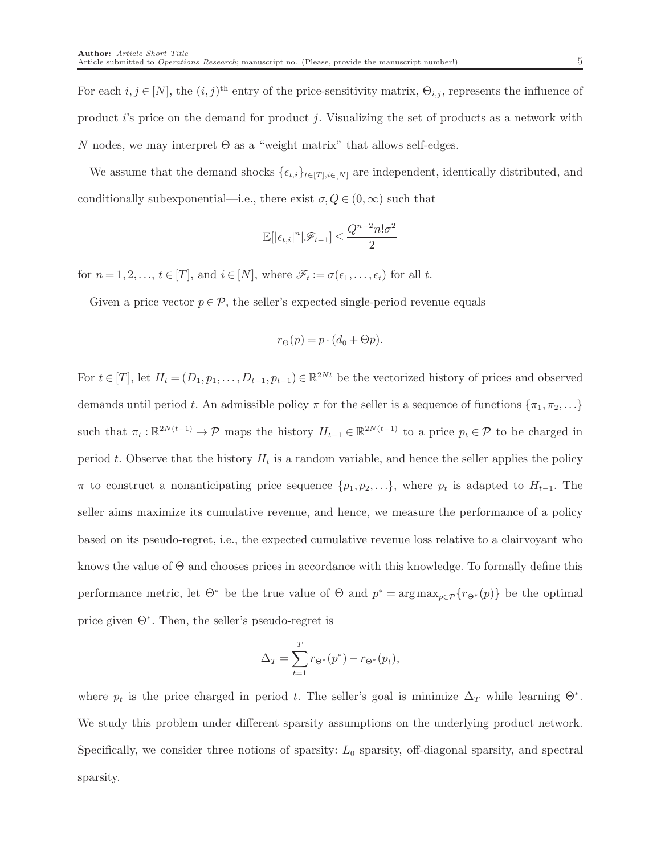For each  $i, j \in [N]$ , the  $(i, j)$ <sup>th</sup> entry of the price-sensitivity matrix,  $\Theta_{i,j}$ , represents the influence of product i's price on the demand for product j. Visualizing the set of products as a network with N nodes, we may interpret  $\Theta$  as a "weight matrix" that allows self-edges.

We assume that the demand shocks  $\{\epsilon_{t,i}\}_{t\in[T],i\in[N]}$  are independent, identically distributed, and conditionally subexponential—i.e., there exist  $\sigma, Q \in (0,\infty)$  such that

$$
\mathbb{E}[|\epsilon_{t,i}|^n|\mathscr{F}_{t-1}]\leq \frac{Q^{n-2}n!\sigma^2}{2}
$$

for  $n = 1, 2, \ldots, t \in [T]$ , and  $i \in [N]$ , where  $\mathscr{F}_t := \sigma(\epsilon_1, \ldots, \epsilon_t)$  for all t.

Given a price vector  $p \in \mathcal{P}$ , the seller's expected single-period revenue equals

$$
r_{\Theta}(p) = p \cdot (d_0 + \Theta p).
$$

For  $t \in [T]$ , let  $H_t = (D_1, p_1, \ldots, D_{t-1}, p_{t-1}) \in \mathbb{R}^{2Nt}$  be the vectorized history of prices and observed demands until period t. An admissible policy  $\pi$  for the seller is a sequence of functions  $\{\pi_1, \pi_2, \ldots\}$ such that  $\pi_t: \mathbb{R}^{2N(t-1)} \to \mathcal{P}$  maps the history  $H_{t-1} \in \mathbb{R}^{2N(t-1)}$  to a price  $p_t \in \mathcal{P}$  to be charged in period t. Observe that the history  $H_t$  is a random variable, and hence the seller applies the policy  $\pi$  to construct a nonanticipating price sequence  $\{p_1, p_2, \ldots\}$ , where  $p_t$  is adapted to  $H_{t-1}$ . The seller aims maximize its cumulative revenue, and hence, we measure the performance of a policy based on its pseudo-regret, i.e., the expected cumulative revenue loss relative to a clairvoyant who knows the value of  $\Theta$  and chooses prices in accordance with this knowledge. To formally define this performance metric, let  $\Theta^*$  be the true value of  $\Theta$  and  $p^* = \arg \max_{p \in \mathcal{P}} \{r_{\Theta^*}(p)\}\$  be the optimal price given Θ<sup>∗</sup> . Then, the seller's pseudo-regret is

$$
\Delta_T = \sum_{t=1}^T r_{\Theta^*}(p^*) - r_{\Theta^*}(p_t),
$$

where  $p_t$  is the price charged in period t. The seller's goal is minimize  $\Delta_T$  while learning  $\Theta^*$ . We study this problem under different sparsity assumptions on the underlying product network. Specifically, we consider three notions of sparsity:  $L_0$  sparsity, off-diagonal sparsity, and spectral sparsity.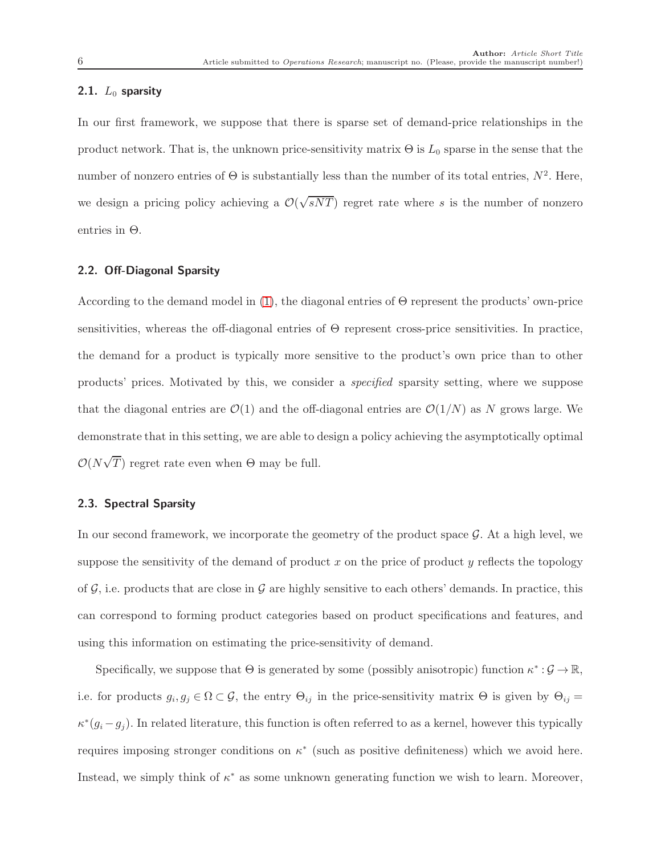#### 2.1.  $L_0$  sparsity

In our first framework, we suppose that there is sparse set of demand-price relationships in the product network. That is, the unknown price-sensitivity matrix  $\Theta$  is  $L_0$  sparse in the sense that the number of nonzero entries of  $\Theta$  is substantially less than the number of its total entries,  $N^2$ . Here, we design a pricing policy achieving a  $\mathcal{O}(\sqrt{sNT})$  regret rate where s is the number of nonzero entries in Θ.

#### 2.2. Off-Diagonal Sparsity

According to the demand model in  $(1)$ , the diagonal entries of  $\Theta$  represent the products' own-price sensitivities, whereas the off-diagonal entries of Θ represent cross-price sensitivities. In practice, the demand for a product is typically more sensitive to the product's own price than to other products' prices. Motivated by this, we consider a *specified* sparsity setting, where we suppose that the diagonal entries are  $\mathcal{O}(1)$  and the off-diagonal entries are  $\mathcal{O}(1/N)$  as N grows large. We demonstrate that in this setting, we are able to design a policy achieving the asymptotically optimal  $\mathcal{O}(N\sqrt{T})$  regret rate even when  $\Theta$  may be full.

# 2.3. Spectral Sparsity

In our second framework, we incorporate the geometry of the product space  $\mathcal{G}$ . At a high level, we suppose the sensitivity of the demand of product x on the price of product y reflects the topology of  $\mathcal{G}$ , i.e. products that are close in  $\mathcal{G}$  are highly sensitive to each others' demands. In practice, this can correspond to forming product categories based on product specifications and features, and using this information on estimating the price-sensitivity of demand.

Specifically, we suppose that  $\Theta$  is generated by some (possibly anisotropic) function  $\kappa^*:\mathcal{G}\to\mathbb{R}$ , i.e. for products  $g_i, g_j \in \Omega \subset \mathcal{G}$ , the entry  $\Theta_{ij}$  in the price-sensitivity matrix  $\Theta$  is given by  $\Theta_{ij} =$  $\kappa^*(g_i - g_j)$ . In related literature, this function is often referred to as a kernel, however this typically requires imposing stronger conditions on  $\kappa^*$  (such as positive definiteness) which we avoid here. Instead, we simply think of  $\kappa^*$  as some unknown generating function we wish to learn. Moreover,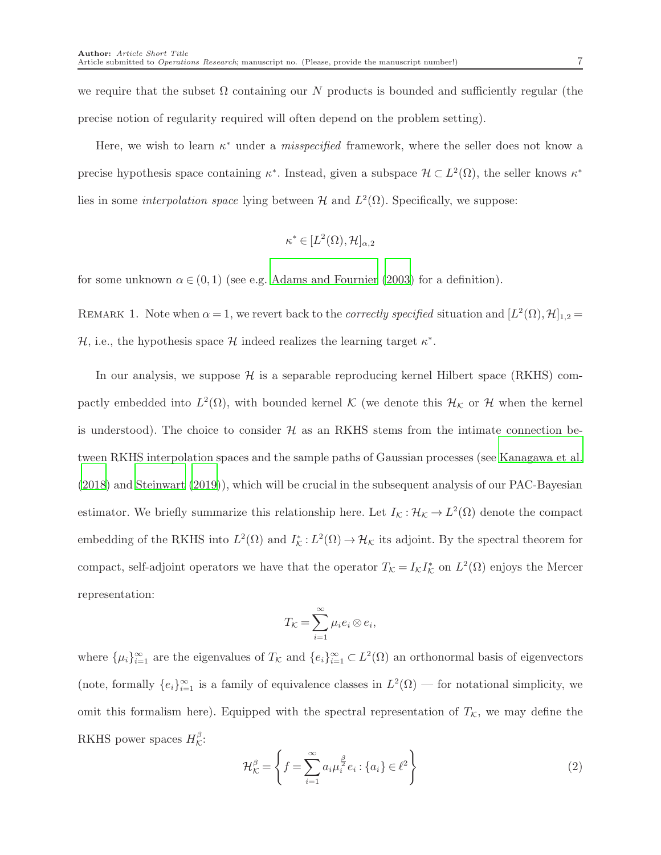we require that the subset  $\Omega$  containing our N products is bounded and sufficiently regular (the precise notion of regularity required will often depend on the problem setting).

Here, we wish to learn  $\kappa^*$  under a *misspecified* framework, where the seller does not know a precise hypothesis space containing  $\kappa^*$ . Instead, given a subspace  $\mathcal{H} \subset L^2(\Omega)$ , the seller knows  $\kappa^*$ lies in some *interpolation space* lying between  $H$  and  $L^2(\Omega)$ . Specifically, we suppose:

$$
\kappa^* \in [L^2(\Omega), \mathcal{H}]_{\alpha,2}
$$

for some unknown  $\alpha \in (0,1)$  (see e.g. [Adams and Fournier \(2003\)](#page-33-6) for a definition).

REMARK 1. Note when  $\alpha = 1$ , we revert back to the *correctly specified* situation and  $[L^2(\Omega), \mathcal{H}]_{1,2} =$ H, i.e., the hypothesis space H indeed realizes the learning target  $\kappa^*$ .

<span id="page-6-0"></span>In our analysis, we suppose  $\mathcal H$  is a separable reproducing kernel Hilbert space (RKHS) compactly embedded into  $L^2(\Omega)$ , with bounded kernel K (we denote this  $\mathcal{H}_\mathcal{K}$  or H when the kernel is understood). The choice to consider  $H$  as an RKHS stems from the intimate connection between RKHS interpolation spaces and the sample paths of Gaussian processes (see [Kanagawa et al.](#page-34-9) [\(2018](#page-34-9)) and [Steinwart \(2019\)](#page-35-6)), which will be crucial in the subsequent analysis of our PAC-Bayesian estimator. We briefly summarize this relationship here. Let  $I_K: \mathcal{H}_K \to L^2(\Omega)$  denote the compact embedding of the RKHS into  $L^2(\Omega)$  and  $I_K^*: L^2(\Omega) \to \mathcal{H}_K$  its adjoint. By the spectral theorem for compact, self-adjoint operators we have that the operator  $T_{\mathcal{K}} = I_{\mathcal{K}} I_{\mathcal{K}}^*$  on  $L^2(\Omega)$  enjoys the Mercer representation:

$$
T_{\mathcal{K}} = \sum_{i=1}^{\infty} \mu_i e_i \otimes e_i,
$$

where  $\{\mu_i\}_{i=1}^{\infty}$  are the eigenvalues of  $T_K$  and  $\{e_i\}_{i=1}^{\infty} \subset L^2(\Omega)$  an orthonormal basis of eigenvectors (note, formally  $\{e_i\}_{i=1}^{\infty}$  is a family of equivalence classes in  $L^2(\Omega)$  — for notational simplicity, we omit this formalism here). Equipped with the spectral representation of  $T_{\mathcal{K}}$ , we may define the RKHS power spaces  $H_{\mathcal{K}}^{\beta}$ :

<span id="page-6-1"></span>
$$
\mathcal{H}_{\mathcal{K}}^{\beta} = \left\{ f = \sum_{i=1}^{\infty} a_i \mu_i^{\frac{\beta}{2}} e_i : \{a_i\} \in \ell^2 \right\}
$$
 (2)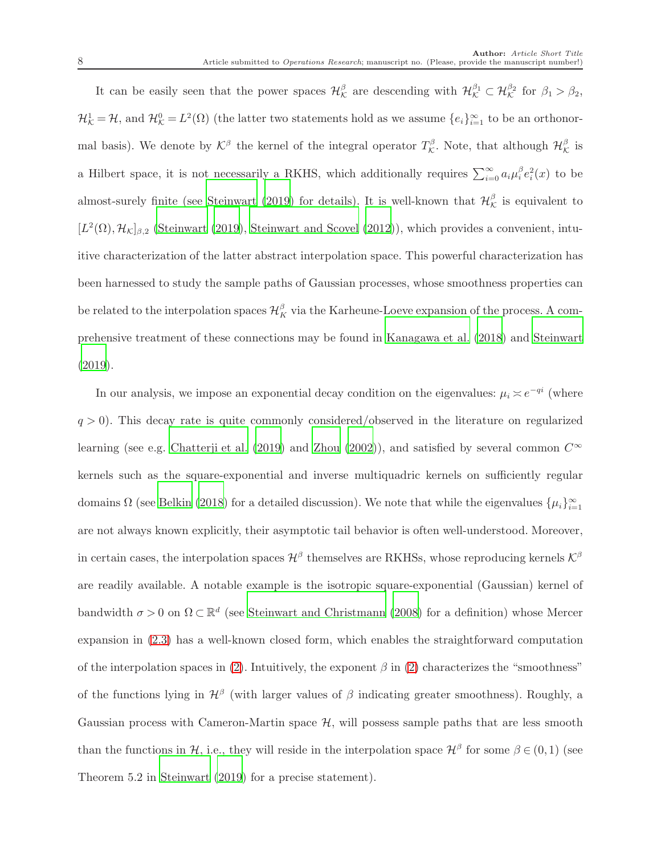It can be easily seen that the power spaces  $\mathcal{H}^{\beta}_{\mathcal{K}}$  are descending with  $\mathcal{H}^{\beta_1}_{\mathcal{K}} \subset \mathcal{H}^{\beta_2}_{\mathcal{K}}$  for  $\beta_1 > \beta_2$ ,  $\mathcal{H}_{\mathcal{K}}^1 = \mathcal{H}$ , and  $\mathcal{H}_{\mathcal{K}}^0 = L^2(\Omega)$  (the latter two statements hold as we assume  $\{e_i\}_{i=1}^{\infty}$  to be an orthonormal basis). We denote by  $\mathcal{K}^{\beta}$  the kernel of the integral operator  $T^{\beta}_{\mathcal{K}}$ . Note, that although  $\mathcal{H}^{\beta}_{\mathcal{K}}$  is a Hilbert space, it is not necessarily a RKHS, which additionally requires  $\sum_{i=0}^{\infty} a_i \mu_i^{\beta} e_i^2(x)$  to be almost-surely finite (see [Steinwart \(2019\)](#page-35-6) for details). It is well-known that  $\mathcal{H}_{\mathcal{K}}^{\beta}$  is equivalent to  $[L^2(\Omega), \mathcal{H}_K]_{\beta,2}$  [\(Steinwart \(2019\)](#page-35-6), [Steinwart and Scovel \(2012](#page-35-7))), which provides a convenient, intuitive characterization of the latter abstract interpolation space. This powerful characterization has been harnessed to study the sample paths of Gaussian processes, whose smoothness properties can be related to the interpolation spaces  $\mathcal{H}_K^{\beta}$  via the Karheune-Loeve expansion of the process. A comprehensive treatment of these connections may be found in [Kanagawa et al. \(2018](#page-34-9)) and [Steinwart](#page-35-6) [\(2019](#page-35-6)).

In our analysis, we impose an exponential decay condition on the eigenvalues:  $\mu_i \approx e^{-qi}$  (where  $q > 0$ ). This decay rate is quite commonly considered/observed in the literature on regularized learning (see e.g. [Chatterji et al. \(2019](#page-33-7)) and [Zhou \(2002\)](#page-36-0)), and satisfied by several common  $C^{\infty}$ kernels such as the square-exponential and inverse multiquadric kernels on sufficiently regular domains  $\Omega$  (see [Belkin \(2018\)](#page-33-8) for a detailed discussion). We note that while the eigenvalues  $\{\mu_i\}_{i=1}^{\infty}$ are not always known explicitly, their asymptotic tail behavior is often well-understood. Moreover, in certain cases, the interpolation spaces  $\mathcal{H}^{\beta}$  themselves are RKHSs, whose reproducing kernels  $\mathcal{K}^{\beta}$ are readily available. A notable example is the isotropic square-exponential (Gaussian) kernel of bandwidth  $\sigma > 0$  on  $\Omega \subset \mathbb{R}^d$  (see [Steinwart and Christmann \(2008](#page-35-8)) for a definition) whose Mercer expansion in [\(2.3\)](#page-6-0) has a well-known closed form, which enables the straightforward computation of the interpolation spaces in [\(2\)](#page-6-1). Intuitively, the exponent  $\beta$  in (2) characterizes the "smoothness" of the functions lying in  $\mathcal{H}^{\beta}$  (with larger values of  $\beta$  indicating greater smoothness). Roughly, a Gaussian process with Cameron-Martin space  $H$ , will possess sample paths that are less smooth than the functions in H, i.e., they will reside in the interpolation space  $\mathcal{H}^{\beta}$  for some  $\beta \in (0,1)$  (see Theorem 5.2 in [Steinwart \(2019\)](#page-35-6) for a precise statement).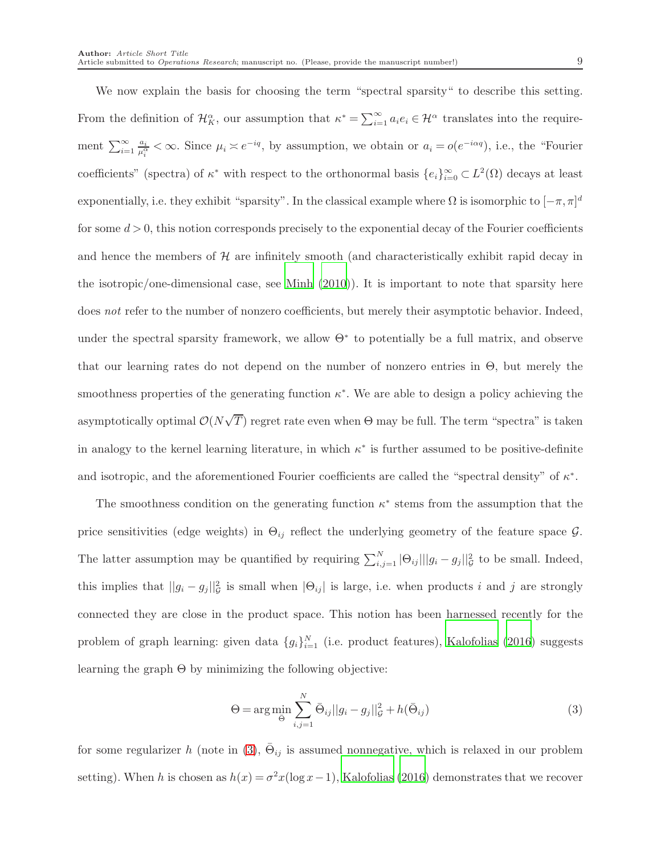We now explain the basis for choosing the term "spectral sparsity" to describe this setting. From the definition of  $\mathcal{H}_K^{\alpha}$ , our assumption that  $\kappa^* = \sum_{i=1}^{\infty} a_i e_i \in \mathcal{H}^{\alpha}$  translates into the requirement  $\sum_{i=1}^{\infty} \frac{a_i}{\mu_i^{\alpha}} < \infty$ . Since  $\mu_i \asymp e^{-iq}$ , by assumption, we obtain or  $a_i = o(e^{-i\alpha q})$ , i.e., the "Fourier coefficients" (spectra) of  $\kappa^*$  with respect to the orthonormal basis  $\{e_i\}_{i=0}^{\infty} \subset L^2(\Omega)$  decays at least exponentially, i.e. they exhibit "sparsity". In the classical example where  $\Omega$  is isomorphic to  $[-\pi, \pi]^d$ for some  $d > 0$ , this notion corresponds precisely to the exponential decay of the Fourier coefficients and hence the members of  $H$  are infinitely smooth (and characteristically exhibit rapid decay in the isotropic/one-dimensional case, see [Minh \(2010\)](#page-35-9)). It is important to note that sparsity here does *not* refer to the number of nonzero coefficients, but merely their asymptotic behavior. Indeed, under the spectral sparsity framework, we allow  $\Theta^*$  to potentially be a full matrix, and observe that our learning rates do not depend on the number of nonzero entries in Θ, but merely the smoothness properties of the generating function  $\kappa^*$ . We are able to design a policy achieving the asymptotically optimal  $\mathcal{O}(N\sqrt{T})$  regret rate even when  $\Theta$  may be full. The term "spectra" is taken in analogy to the kernel learning literature, in which  $\kappa^*$  is further assumed to be positive-definite and isotropic, and the aforementioned Fourier coefficients are called the "spectral density" of  $\kappa^*$ .

The smoothness condition on the generating function  $\kappa^*$  stems from the assumption that the price sensitivities (edge weights) in  $\Theta_{ij}$  reflect the underlying geometry of the feature space  $\mathcal{G}$ . The latter assumption may be quantified by requiring  $\sum_{i,j=1}^{N} |\Theta_{ij}||g_i - g_j||_g^2$  to be small. Indeed, this implies that  $||g_i - g_j||_G^2$  is small when  $|\Theta_{ij}|$  is large, i.e. when products i and j are strongly connected they are close in the product space. This notion has been harnessed recently for the problem of graph learning: given data  $\{g_i\}_{i=1}^N$  (i.e. product features), [Kalofolias \(2016](#page-34-10)) suggests learning the graph  $\Theta$  by minimizing the following objective:

<span id="page-8-0"></span>
$$
\Theta = \arg\min_{\bar{\Theta}} \sum_{i,j=1}^{N} \bar{\Theta}_{ij} ||g_i - g_j||_g^2 + h(\bar{\Theta}_{ij})
$$
\n(3)

for some regularizer h (note in [\(3\)](#page-8-0),  $\bar{\Theta}_{ij}$  is assumed nonnegative, which is relaxed in our problem setting). When h is chosen as  $h(x) = \sigma^2 x(\log x - 1)$ , [Kalofolias \(2016\)](#page-34-10) demonstrates that we recover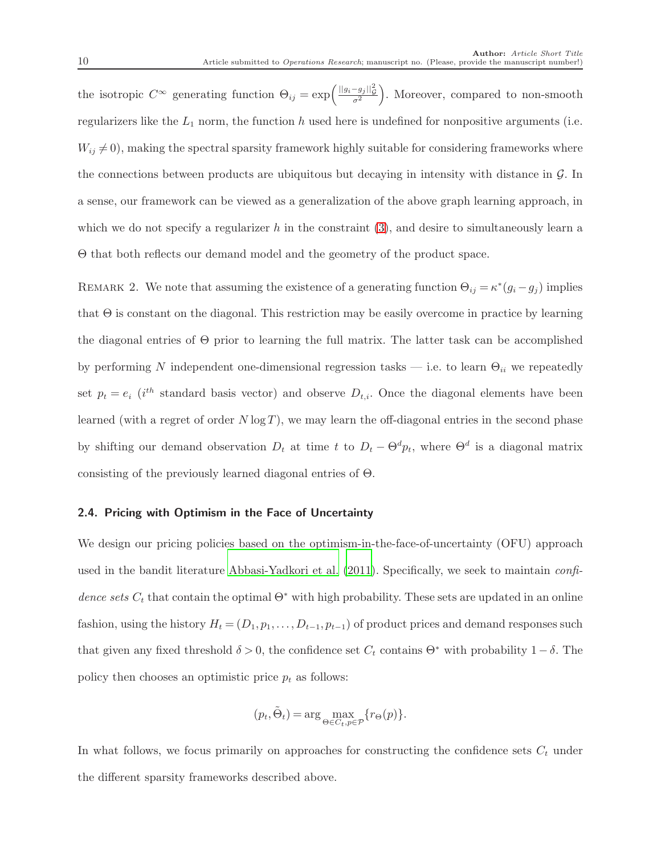the isotropic  $C^{\infty}$  generating function  $\Theta_{ij} = \exp\left(\frac{||g_i - g_j||_Q^2}{\sigma^2}\right)$ . Moreover, compared to non-smooth regularizers like the  $L_1$  norm, the function h used here is undefined for nonpositive arguments (i.e.  $W_{ij} \neq 0$ , making the spectral sparsity framework highly suitable for considering frameworks where the connections between products are ubiquitous but decaying in intensity with distance in  $\mathcal{G}$ . In a sense, our framework can be viewed as a generalization of the above graph learning approach, in which we do not specify a regularizer h in the constraint  $(3)$ , and desire to simultaneously learn a Θ that both reflects our demand model and the geometry of the product space.

REMARK 2. We note that assuming the existence of a generating function  $\Theta_{ij} = \kappa^*(g_i - g_j)$  implies that Θ is constant on the diagonal. This restriction may be easily overcome in practice by learning the diagonal entries of Θ prior to learning the full matrix. The latter task can be accomplished by performing N independent one-dimensional regression tasks — i.e. to learn  $\Theta_{ii}$  we repeatedly set  $p_t = e_i$  (i<sup>th</sup> standard basis vector) and observe  $D_{t,i}$ . Once the diagonal elements have been learned (with a regret of order  $N \log T$ ), we may learn the off-diagonal entries in the second phase by shifting our demand observation  $D_t$  at time t to  $D_t - \Theta^d p_t$ , where  $\Theta^d$  is a diagonal matrix consisting of the previously learned diagonal entries of Θ.

#### 2.4. Pricing with Optimism in the Face of Uncertainty

We design our pricing policies based on the optimism-in-the-face-of-uncertainty (OFU) approach used in the bandit literature [Abbasi-Yadkori et al. \(2011\)](#page-32-0). Specifically, we seek to maintain *confidence sets*  $C_t$  that contain the optimal  $\Theta^*$  with high probability. These sets are updated in an online fashion, using the history  $H_t = (D_1, p_1, \ldots, D_{t-1}, p_{t-1})$  of product prices and demand responses such that given any fixed threshold  $\delta > 0$ , the confidence set  $C_t$  contains  $\Theta^*$  with probability  $1 - \delta$ . The policy then chooses an optimistic price  $p_t$  as follows:

$$
(p_t, \tilde{\Theta}_t) = \arg \max_{\Theta \in C_t, p \in \mathcal{P}} \{ r_{\Theta}(p) \}.
$$

In what follows, we focus primarily on approaches for constructing the confidence sets  $C_t$  under the different sparsity frameworks described above.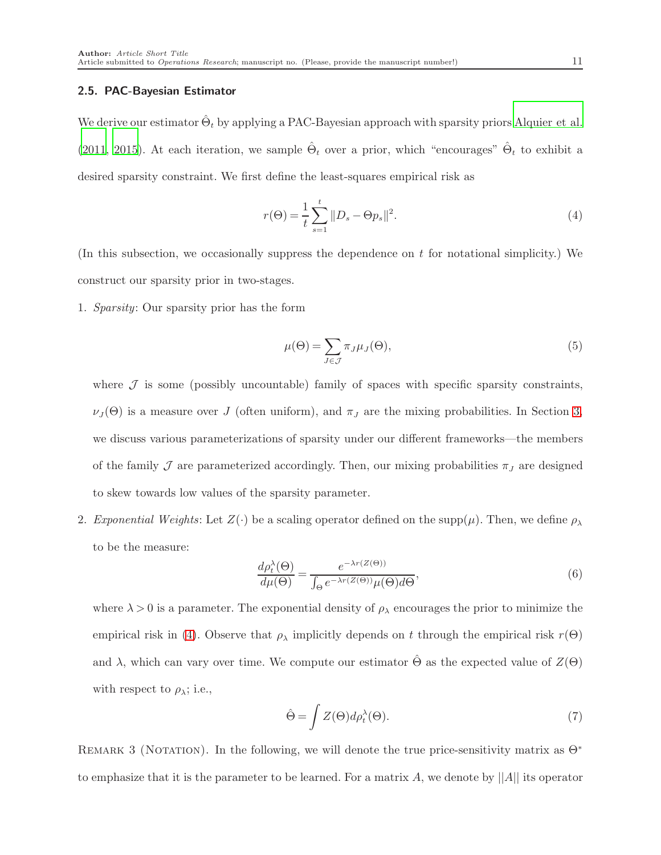#### 2.5. PAC-Bayesian Estimator

We derive our estimator  $\hat{\Theta}_t$  by applying a PAC-Bayesian approach with sparsity priors [Alquier et al.](#page-33-9) [\(2011](#page-33-9), [2015\)](#page-33-10). At each iteration, we sample  $\hat{\Theta}_t$  over a prior, which "encourages"  $\hat{\Theta}_t$  to exhibit a desired sparsity constraint. We first define the least-squares empirical risk as

<span id="page-10-0"></span>
$$
r(\Theta) = \frac{1}{t} \sum_{s=1}^{t} \|D_s - \Theta p_s\|^2.
$$
 (4)

(In this subsection, we occasionally suppress the dependence on  $t$  for notational simplicity.) We construct our sparsity prior in two-stages.

1. *Sparsity*: Our sparsity prior has the form

<span id="page-10-2"></span>
$$
\mu(\Theta) = \sum_{J \in \mathcal{J}} \pi_J \mu_J(\Theta),\tag{5}
$$

where  $J$  is some (possibly uncountable) family of spaces with specific sparsity constraints,  $\nu_J(\Theta)$  is a measure over J (often uniform), and  $\pi_J$  are the mixing probabilities. In Section [3,](#page-11-0) we discuss various parameterizations of sparsity under our different frameworks—the members of the family  $\mathcal J$  are parameterized accordingly. Then, our mixing probabilities  $\pi_J$  are designed to skew towards low values of the sparsity parameter.

2. *Exponential Weights*: Let  $Z(\cdot)$  be a scaling operator defined on the supp $(\mu)$ . Then, we define  $\rho_{\lambda}$ to be the measure:

$$
\frac{d\rho_t^{\lambda}(\Theta)}{d\mu(\Theta)} = \frac{e^{-\lambda r(Z(\Theta))}}{\int_{\Theta} e^{-\lambda r(Z(\Theta))}\mu(\Theta)d\Theta},\tag{6}
$$

where  $\lambda > 0$  is a parameter. The exponential density of  $\rho_{\lambda}$  encourages the prior to minimize the empirical risk in [\(4\)](#page-10-0). Observe that  $\rho_{\lambda}$  implicitly depends on t through the empirical risk  $r(\Theta)$ and  $\lambda$ , which can vary over time. We compute our estimator  $\hat{\Theta}$  as the expected value of  $Z(\Theta)$ with respect to  $\rho_{\lambda}$ ; i.e.,

<span id="page-10-1"></span>
$$
\hat{\Theta} = \int Z(\Theta) d\rho_t^{\lambda}(\Theta). \tag{7}
$$

REMARK 3 (NOTATION). In the following, we will denote the true price-sensitivity matrix as  $\Theta^*$ to emphasize that it is the parameter to be learned. For a matrix A, we denote by  $||A||$  its operator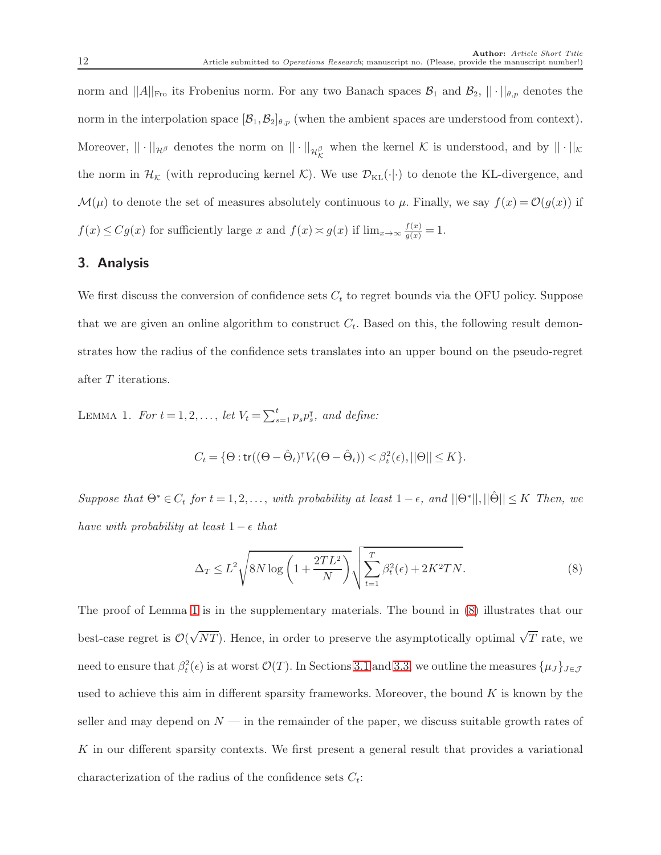norm and  $||A||_{\text{Fro}}$  its Frobenius norm. For any two Banach spaces  $\mathcal{B}_1$  and  $\mathcal{B}_2$ ,  $||\cdot||_{\theta,p}$  denotes the norm in the interpolation space  $[\mathcal{B}_1,\mathcal{B}_2]_{\theta,p}$  (when the ambient spaces are understood from context). Moreover,  $||\cdot||_{\mathcal{H}_{\beta}}$  denotes the norm on  $||\cdot||_{\mathcal{H}_{\mathcal{K}}^{\beta}}$  when the kernel K is understood, and by  $||\cdot||_{\mathcal{K}}$ the norm in  $\mathcal{H}_{\mathcal{K}}$  (with reproducing kernel  $\mathcal{K}$ ). We use  $\mathcal{D}_{\text{KL}}(\cdot|\cdot)$  to denote the KL-divergence, and  $\mathcal{M}(\mu)$  to denote the set of measures absolutely continuous to  $\mu$ . Finally, we say  $f(x) = \mathcal{O}(g(x))$  if  $f(x) \leq Cg(x)$  for sufficiently large x and  $f(x) \approx g(x)$  if  $\lim_{x \to \infty} \frac{f(x)}{g(x)} = 1$ .

# <span id="page-11-0"></span>3. Analysis

We first discuss the conversion of confidence sets  $C_t$  to regret bounds via the OFU policy. Suppose that we are given an online algorithm to construct  $C_t$ . Based on this, the following result demonstrates how the radius of the confidence sets translates into an upper bound on the pseudo-regret after T iterations.

LEMMA 1. *For*  $t = 1, 2, ..., let V_t = \sum_{s=1}^t p_s p_s^{\intercal}$ , and define:

<span id="page-11-1"></span>
$$
C_t = \{ \Theta : \text{tr}((\Theta - \hat{\Theta}_t)^{\intercal} V_t(\Theta - \hat{\Theta}_t)) < \beta_t^2(\epsilon), ||\Theta|| \le K \}.
$$

 $Suppose that \Theta^* \in C_t$  *for*  $t = 1, 2, \ldots$ , *with probability at least*  $1 - \epsilon$ *, and*  $||\Theta^*||$ ,  $||\hat{\Theta}|| \leq K$  *Then, we have with probability at least*  $1 - \epsilon$  *that* 

<span id="page-11-3"></span><span id="page-11-2"></span>
$$
\Delta_T \le L^2 \sqrt{8N \log \left(1 + \frac{2TL^2}{N}\right)} \sqrt{\sum_{t=1}^T \beta_t^2(\epsilon) + 2K^2 TN}.\tag{8}
$$

The proof of Lemma [1](#page-11-1) is in the supplementary materials. The bound in [\(8\)](#page-11-2) illustrates that our best-case regret is  $\mathcal{O}(\sqrt{NT})$ . Hence, in order to preserve the asymptotically optimal  $\sqrt{T}$  rate, we need to ensure that  $\beta_t^2(\epsilon)$  is at worst  $\mathcal{O}(T)$ . In Sections [3.1](#page-12-0) and [3.3,](#page-16-0) we outline the measures  $\{\mu_J\}_{J\in\mathcal{J}}$ used to achieve this aim in different sparsity frameworks. Moreover, the bound  $K$  is known by the seller and may depend on  $N$  — in the remainder of the paper, we discuss suitable growth rates of K in our different sparsity contexts. We first present a general result that provides a variational characterization of the radius of the confidence sets  $C_t$ :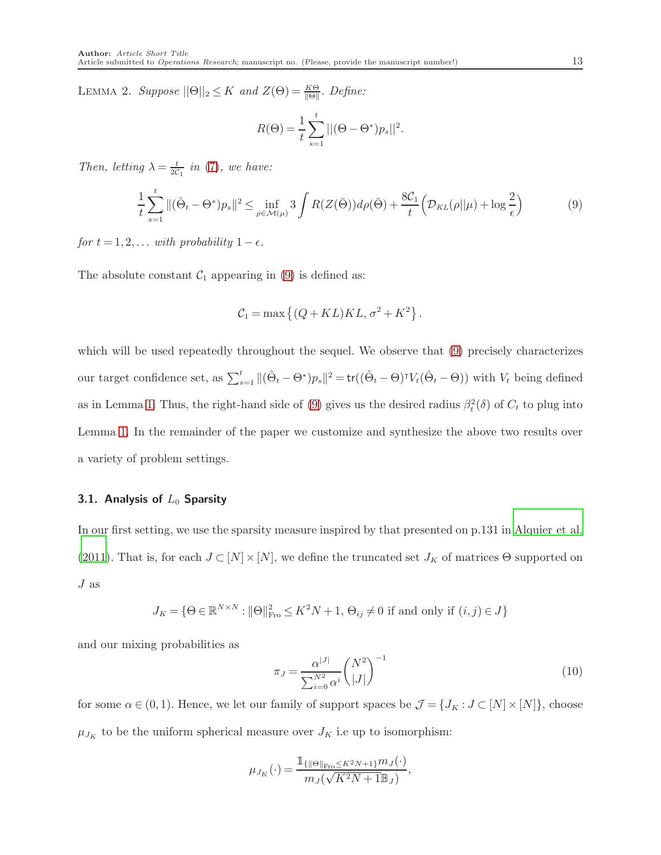LEMMA 2. *Suppose*  $||\Theta||_2 \leq K$  *and*  $Z(\Theta) = \frac{K\Theta}{||\Theta||}$ . *Define:* 

$$
R(\Theta) = \frac{1}{t} \sum_{s=1}^{t} ||(\Theta - \Theta^*)p_s||^2.
$$

*Then, letting*  $\lambda = \frac{t}{2C_1}$  *in* [\(7\)](#page-10-1)*, we have:* 

<span id="page-12-1"></span>
$$
\frac{1}{t}\sum_{s=1}^t \|(\hat{\Theta}_t - \Theta^*)p_s\|^2 \le \inf_{\rho \in \mathcal{M}(\mu)} 3 \int R(Z(\bar{\Theta})) d\rho(\bar{\Theta}) + \frac{8C_1}{t} \Big(\mathcal{D}_{KL}(\rho||\mu) + \log \frac{2}{\epsilon}\Big) \tag{9}
$$

*for*  $t = 1, 2, \ldots$  *with probability*  $1 - \epsilon$ *.* 

The absolute constant  $C_1$  appearing in [\(9\)](#page-12-1) is defined as:

$$
C_1 = \max\left\{ (Q + KL)KL, \sigma^2 + K^2 \right\}.
$$

which will be used repeatedly throughout the sequel. We observe that  $(9)$  precisely characterizes our target confidence set, as  $\sum_{s=1}^{t} ||(\hat{\Theta}_t - \Theta^*)p_s||^2 = \text{tr}((\hat{\Theta}_t - \Theta)^{\intercal}V_t(\hat{\Theta}_t - \Theta))$  with  $V_t$  being defined as in Lemma [1.](#page-11-1) Thus, the right-hand side of [\(9\)](#page-12-1) gives us the desired radius  $\beta_t^2(\delta)$  of  $C_t$  to plug into Lemma [1.](#page-11-1) In the remainder of the paper we customize and synthesize the above two results over a variety of problem settings.

# <span id="page-12-0"></span>3.1. Analysis of  $L_0$  Sparsity

In our first setting, we use the sparsity measure inspired by that presented on p.131 in [Alquier et al.](#page-33-9) [\(2011](#page-33-9)). That is, for each  $J \subset [N] \times [N]$ , we define the truncated set  $J_K$  of matrices  $\Theta$  supported on J as

$$
J_K = \{\Theta \in \mathbb{R}^{N \times N}: \|\Theta\|_{\operatorname{Fro}}^2 \leq K^2N+1, \, \Theta_{ij} \neq 0 \, \, \text{if and only if} \, \, (i,j) \in J\}
$$

and our mixing probabilities as

<span id="page-12-2"></span>
$$
\pi_J = \frac{\alpha^{|J|}}{\sum_{i=0}^{N^2} \alpha^i} {N^2 \choose |J|}^{-1}
$$
\n(10)

for some  $\alpha \in (0,1)$ . Hence, we let our family of support spaces be  $\mathcal{J} = \{J_K : J \subset [N] \times [N]\}$ , choose  $\mu_{J_K}$  to be the uniform spherical measure over  $J_K$  i.e up to isomorphism:

$$
\mu_{J_K}(\cdot) = \frac{\mathbb{1}_{\{ \|\Theta\|_{\text{Fro}} \le K^2N+1 \}} m_J(\cdot)}{m_J(\sqrt{K^2N+1} \mathbb{B}_J)},
$$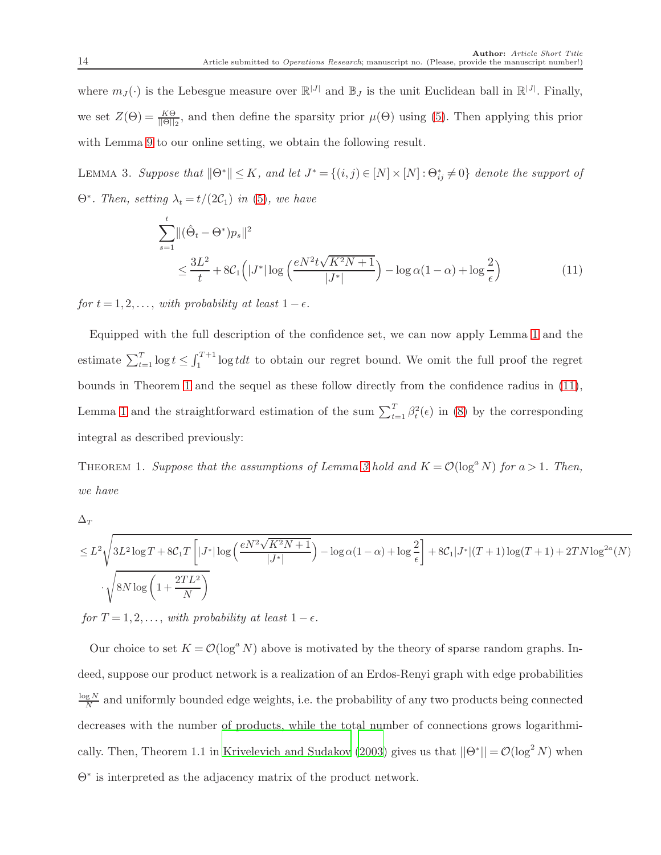where  $m_J(\cdot)$  is the Lebesgue measure over  $\mathbb{R}^{|J|}$  and  $\mathbb{B}_J$  is the unit Euclidean ball in  $\mathbb{R}^{|J|}$ . Finally, we set  $Z(\Theta) = \frac{K\Theta}{\|\Theta\|_2}$ , and then define the sparsity prior  $\mu(\Theta)$  using [\(5\)](#page-10-2). Then applying this prior with Lemma [9](#page-12-1) to our online setting, we obtain the following result.

LEMMA 3. Suppose that  $\|\Theta^*\| \leq K$ , and let  $J^* = \{(i,j) \in [N] \times [N] : \Theta^*_{ij} \neq 0\}$  denote the support of  $\Theta^*$ *. Then, setting*  $\lambda_t = t/(2\mathcal{C}_1)$  *in* [\(5\)](#page-10-2)*, we have* 

<span id="page-13-2"></span><span id="page-13-1"></span>
$$
\sum_{s=1}^{t} ||(\hat{\Theta}_t - \Theta^*)p_s||^2
$$
\n
$$
\leq \frac{3L^2}{t} + 8C_1 \left( |J^*| \log \left( \frac{e^{N^2 t \sqrt{K^2 N + 1}}}{|J^*|} \right) - \log \alpha (1 - \alpha) + \log \frac{2}{\epsilon} \right) \tag{11}
$$

*for*  $t = 1, 2, \ldots$ , *with probability at least*  $1 - \epsilon$ *.* 

Equipped with the full description of the confidence set, we can now apply Lemma [1](#page-11-1) and the estimate  $\sum_{t=1}^{T} \log t \le \int_{1}^{T+1} \log t dt$  to obtain our regret bound. We omit the full proof the regret bounds in Theorem [1](#page-13-0) and the sequel as these follow directly from the confidence radius in [\(11\)](#page-13-1), Lemma [1](#page-11-1) and the straightforward estimation of the sum  $\sum_{t=1}^{T} \beta_t^2(\epsilon)$  in [\(8\)](#page-11-2) by the corresponding integral as described previously:

<span id="page-13-0"></span>THEOREM 1. *Suppose that the assumptions of Lemma [3](#page-13-2) hold and*  $K = \mathcal{O}(\log^a N)$  *for*  $a > 1$ *. Then, we have*

 $\Delta_T$ 

$$
\leq L^2 \sqrt{3L^2 \log T + 8C_1 T \left[ |J^*| \log \left( \frac{e^{N^2} \sqrt{K^2 N + 1}}{|J^*|} \right) - \log \alpha (1 - \alpha) + \log \frac{2}{\epsilon} \right] + 8C_1 |J^*| (T + 1) \log (T + 1) + 2T N \log^{2\alpha}(N)}
$$
  

$$
\cdot \sqrt{8N \log \left( 1 + \frac{2TL^2}{N} \right)}
$$

*for*  $T = 1, 2, \ldots$ , *with probability at least*  $1 - \epsilon$ *.* 

Our choice to set  $K = \mathcal{O}(\log^a N)$  above is motivated by the theory of sparse random graphs. Indeed, suppose our product network is a realization of an Erdos-Renyi graph with edge probabilities log N  $\frac{gN}{N}$  and uniformly bounded edge weights, i.e. the probability of any two products being connected decreases with the number of products, while the total number of connections grows logarithmi-cally. Then, Theorem 1.1 in [Krivelevich and Sudakov \(2003\)](#page-35-10) gives us that  $||\Theta^*|| = \mathcal{O}(\log^2 N)$  when Θ<sup>∗</sup> is interpreted as the adjacency matrix of the product network.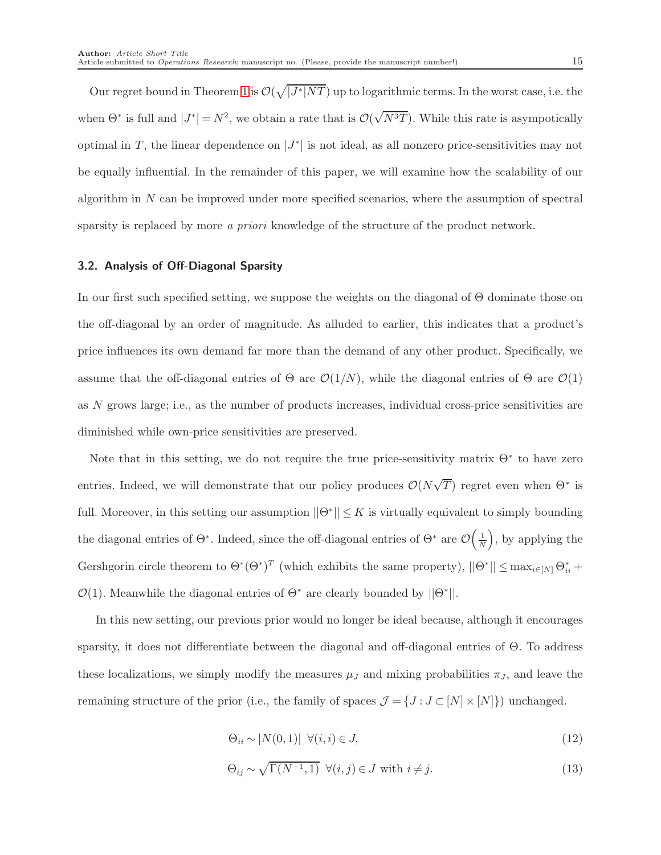Our regret bound in Theorem [1](#page-13-0) is  $\mathcal{O}(\sqrt{|J^*|NT})$  up to logarithmic terms. In the worst case, i.e. the when  $\Theta^*$  is full and  $|J^*|=N^2$ , we obtain a rate that is  $\mathcal{O}(\sqrt{N^3T})$ . While this rate is asympotically optimal in T, the linear dependence on  $|J^*|$  is not ideal, as all nonzero price-sensitivities may not be equally influential. In the remainder of this paper, we will examine how the scalability of our algorithm in  $N$  can be improved under more specified scenarios, where the assumption of spectral sparsity is replaced by more *a priori* knowledge of the structure of the product network.

#### 3.2. Analysis of Off-Diagonal Sparsity

In our first such specified setting, we suppose the weights on the diagonal of Θ dominate those on the off-diagonal by an order of magnitude. As alluded to earlier, this indicates that a product's price influences its own demand far more than the demand of any other product. Specifically, we assume that the off-diagonal entries of  $\Theta$  are  $\mathcal{O}(1/N)$ , while the diagonal entries of  $\Theta$  are  $\mathcal{O}(1)$ as N grows large; i.e., as the number of products increases, individual cross-price sensitivities are diminished while own-price sensitivities are preserved.

Note that in this setting, we do not require the true price-sensitivity matrix  $\Theta^*$  to have zero entries. Indeed, we will demonstrate that our policy produces  $\mathcal{O}(N\sqrt{T})$  regret even when  $\Theta^*$  is full. Moreover, in this setting our assumption  $||\Theta^*|| \leq K$  is virtually equivalent to simply bounding the diagonal entries of  $\Theta^*$ . Indeed, since the off-diagonal entries of  $\Theta^*$  are  $\mathcal{O}\left(\frac{1}{N}\right)$ , by applying the Gershgorin circle theorem to  $\Theta^*(\Theta^*)^T$  (which exhibits the same property),  $||\Theta^*|| \leq \max_{i \in [N]} \Theta_{ii}^*$  +  $\mathcal{O}(1)$ . Meanwhile the diagonal entries of  $\Theta^*$  are clearly bounded by  $||\Theta^*||$ .

In this new setting, our previous prior would no longer be ideal because, although it encourages sparsity, it does not differentiate between the diagonal and off-diagonal entries of Θ. To address these localizations, we simply modify the measures  $\mu_J$  and mixing probabilities  $\pi_J$ , and leave the remaining structure of the prior (i.e., the family of spaces  $\mathcal{J} = \{J: J \subset [N] \times [N]\})$  unchanged.

<span id="page-14-1"></span><span id="page-14-0"></span>
$$
\Theta_{ii} \sim |N(0,1)| \ \forall (i,i) \in J,\tag{12}
$$

$$
\Theta_{ij} \sim \sqrt{\Gamma(N^{-1}, 1)} \ \forall (i, j) \in J \text{ with } i \neq j. \tag{13}
$$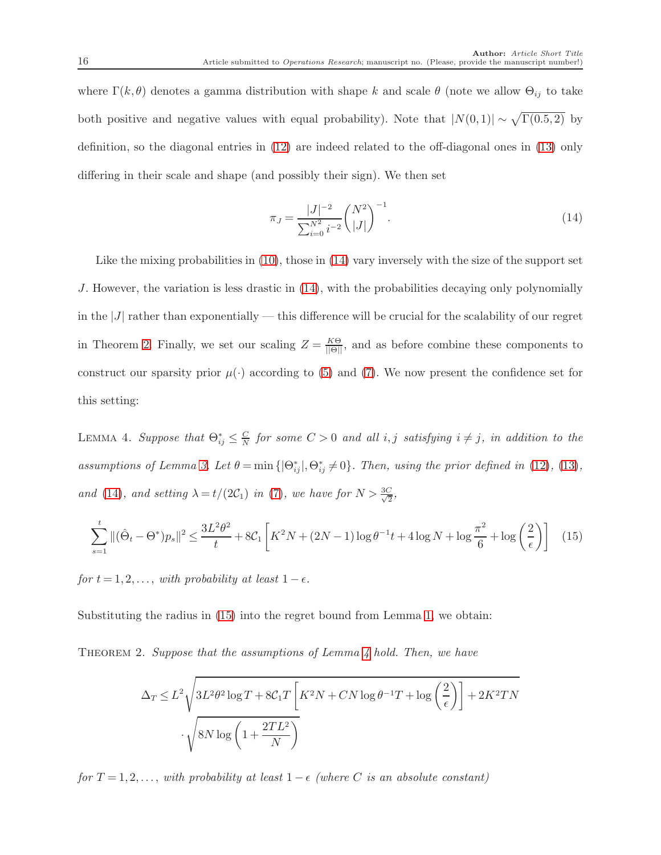where  $\Gamma(k, \theta)$  denotes a gamma distribution with shape k and scale  $\theta$  (note we allow  $\Theta_{ij}$  to take both positive and negative values with equal probability). Note that  $|N(0,1)| \sim \sqrt{\Gamma(0.5, 2)}$  by definition, so the diagonal entries in [\(12\)](#page-14-0) are indeed related to the off-diagonal ones in [\(13\)](#page-14-1) only differing in their scale and shape (and possibly their sign). We then set

<span id="page-15-0"></span>
$$
\pi_J = \frac{|J|^{-2}}{\sum_{i=0}^{N^2} i^{-2}} \binom{N^2}{|J|}^{-1}.
$$
\n(14)

Like the mixing probabilities in [\(10\)](#page-12-2), those in [\(14\)](#page-15-0) vary inversely with the size of the support set J. However, the variation is less drastic in [\(14\)](#page-15-0), with the probabilities decaying only polynomially in the  $|J|$  rather than exponentially — this difference will be crucial for the scalability of our regret in Theorem [2.](#page-15-1) Finally, we set our scaling  $Z = \frac{K\Theta}{\|\Theta\|}$ , and as before combine these components to construct our sparsity prior  $\mu(\cdot)$  according to [\(5\)](#page-10-2) and [\(7\)](#page-10-1). We now present the confidence set for this setting:

<span id="page-15-3"></span>LEMMA 4. *Suppose that*  $\Theta_{ij}^* \leq \frac{C}{N}$  $\frac{C}{N}$  for some  $C > 0$  and all *i*, *j* satisfying  $i \neq j$ , in addition to the *assumptions of Lemma [3.](#page-13-2) Let*  $\theta = \min\{|\Theta_{ij}^*|, \Theta_{ij}^* \neq 0\}$ *. Then, using the prior defined in* [\(12\)](#page-14-0)*,* [\(13\)](#page-14-1)*, and* [\(14\)](#page-15-0)*, and setting*  $\lambda = t/(2C_1)$  *in* [\(7\)](#page-10-1)*, we have for*  $N > \frac{3C}{\sqrt{2}}$  $\frac{1}{2}$ 

<span id="page-15-2"></span>
$$
\sum_{s=1}^{t} \| (\hat{\Theta}_t - \Theta^*) p_s \|^2 \le \frac{3L^2 \theta^2}{t} + 8C_1 \left[ K^2 N + (2N - 1) \log \theta^{-1} t + 4 \log N + \log \frac{\pi^2}{6} + \log \left( \frac{2}{\epsilon} \right) \right] \tag{15}
$$

*for*  $t = 1, 2, \ldots$ , *with probability at least*  $1 - \epsilon$ *.* 

Substituting the radius in [\(15\)](#page-15-2) into the regret bound from Lemma [1,](#page-11-1) we obtain:

Theorem 2. *Suppose that the assumptions of Lemma [4](#page-15-3) hold. Then, we have*

<span id="page-15-1"></span>
$$
\Delta_T \le L^2 \sqrt{3L^2 \theta^2 \log T + 8C_1 T \left[K^2 N + CN \log \theta^{-1} T + \log \left(\frac{2}{\epsilon}\right)\right] + 2K^2 TN}
$$

$$
\cdot \sqrt{8N \log \left(1 + \frac{2TL^2}{N}\right)}
$$

*for*  $T = 1, 2, \ldots$ , *with probability at least*  $1 - \epsilon$  *(where C is an absolute constant)*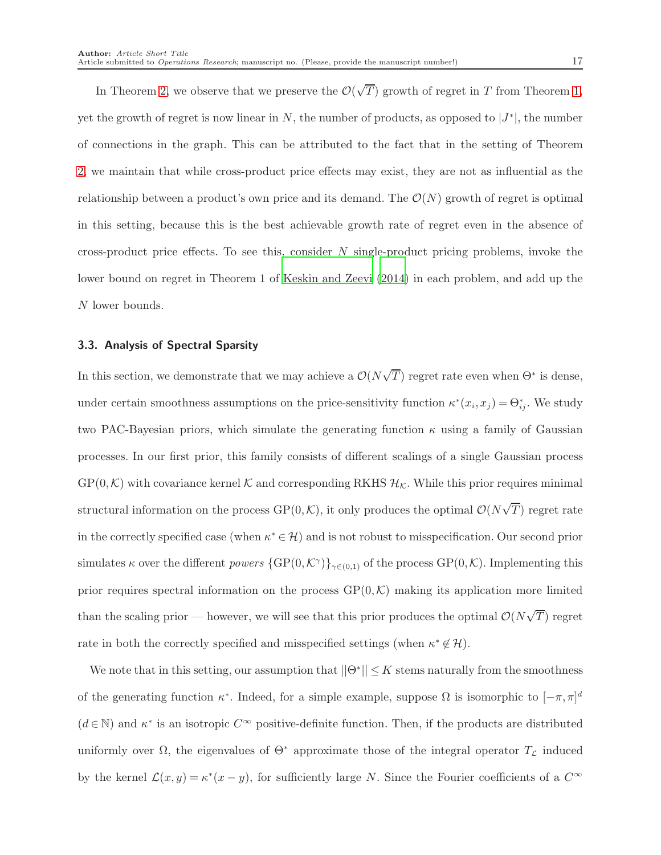In Theorem [2,](#page-15-1) we observe that we preserve the  $\mathcal{O}(\sqrt{T})$  growth of regret in T from Theorem [1,](#page-13-0) yet the growth of regret is now linear in  $N$ , the number of products, as opposed to  $|J^*|$ , the number of connections in the graph. This can be attributed to the fact that in the setting of Theorem [2,](#page-15-1) we maintain that while cross-product price effects may exist, they are not as influential as the relationship between a product's own price and its demand. The  $\mathcal{O}(N)$  growth of regret is optimal in this setting, because this is the best achievable growth rate of regret even in the absence of cross-product price effects. To see this, consider  $N$  single-product pricing problems, invoke the lower bound on regret in Theorem 1 of [Keskin and Zeevi \(2014\)](#page-35-4) in each problem, and add up the N lower bounds.

# <span id="page-16-0"></span>3.3. Analysis of Spectral Sparsity

In this section, we demonstrate that we may achieve a  $\mathcal{O}(N\sqrt{T})$  regret rate even when  $\Theta^*$  is dense, under certain smoothness assumptions on the price-sensitivity function  $\kappa^*(x_i, x_j) = \Theta_{ij}^*$ . We study two PAC-Bayesian priors, which simulate the generating function  $\kappa$  using a family of Gaussian processes. In our first prior, this family consists of different scalings of a single Gaussian process  $GP(0,\mathcal{K})$  with covariance kernel K and corresponding RKHS  $\mathcal{H}_{\mathcal{K}}$ . While this prior requires minimal structural information on the process  $\text{GP}(0, \mathcal{K})$ , it only produces the optimal  $\mathcal{O}(N\sqrt{T})$  regret rate in the correctly specified case (when  $\kappa^* \in \mathcal{H}$ ) and is not robust to misspecification. Our second prior simulates  $\kappa$  over the different *powers*  $\{GP(0, \mathcal{K}^{\gamma})\}_{\gamma \in (0,1)}$  of the process  $GP(0, \mathcal{K})$ . Implementing this prior requires spectral information on the process  $\text{GP}(0,\mathcal{K})$  making its application more limited than the scaling prior — however, we will see that this prior produces the optimal  $\mathcal{O}(N\sqrt{T})$  regret rate in both the correctly specified and misspecified settings (when  $\kappa^* \notin \mathcal{H}$ ).

We note that in this setting, our assumption that  $||\Theta^*|| \leq K$  stems naturally from the smoothness of the generating function  $\kappa^*$ . Indeed, for a simple example, suppose  $\Omega$  is isomorphic to  $[-\pi, \pi]^d$  $(d \in \mathbb{N})$  and  $\kappa^*$  is an isotropic  $C^{\infty}$  positive-definite function. Then, if the products are distributed uniformly over  $\Omega$ , the eigenvalues of  $\Theta^*$  approximate those of the integral operator  $T_{\mathcal{L}}$  induced by the kernel  $\mathcal{L}(x,y) = \kappa^*(x-y)$ , for sufficiently large N. Since the Fourier coefficients of a  $C^{\infty}$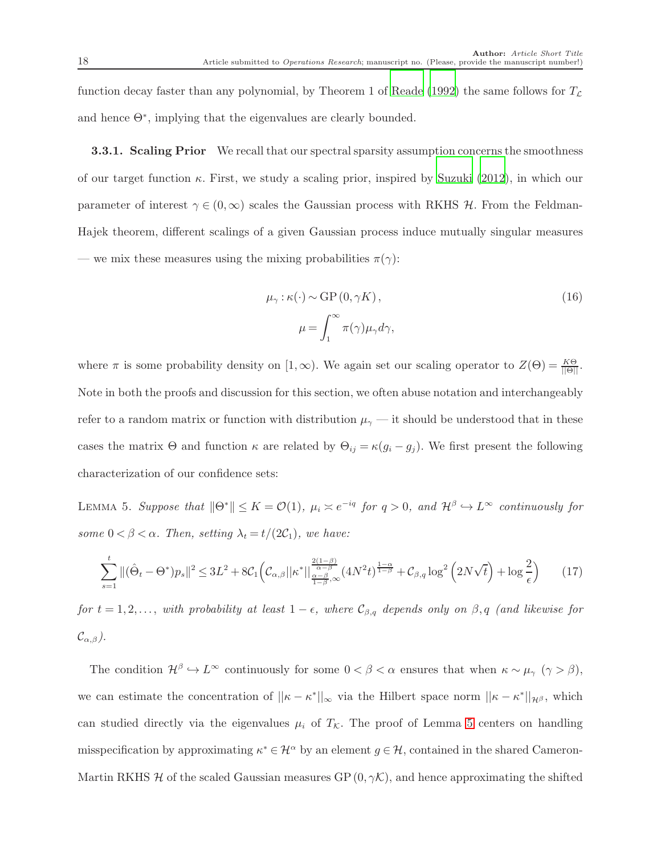function decay faster than any polynomial, by Theorem 1 of [Reade \(1992\)](#page-35-11) the same follows for  $T_c$ and hence Θ<sup>∗</sup> , implying that the eigenvalues are clearly bounded.

**3.3.1. Scaling Prior** We recall that our spectral sparsity assumption concerns the smoothness of our target function  $\kappa$ . First, we study a scaling prior, inspired by [Suzuki \(2012\)](#page-35-5), in which our parameter of interest  $\gamma \in (0,\infty)$  scales the Gaussian process with RKHS H. From the Feldman-Hajek theorem, different scalings of a given Gaussian process induce mutually singular measures — we mix these measures using the mixing probabilities  $\pi(\gamma)$ :

<span id="page-17-2"></span>
$$
\mu_{\gamma}: \kappa(\cdot) \sim \text{GP}(0, \gamma K),
$$
  

$$
\mu = \int_{1}^{\infty} \pi(\gamma) \mu_{\gamma} d\gamma,
$$
 (16)

where  $\pi$  is some probability density on  $[1,\infty)$ . We again set our scaling operator to  $Z(\Theta) = \frac{K\Theta}{\|\Theta\|}$ . Note in both the proofs and discussion for this section, we often abuse notation and interchangeably refer to a random matrix or function with distribution  $\mu_{\gamma}$  — it should be understood that in these cases the matrix  $\Theta$  and function  $\kappa$  are related by  $\Theta_{ij} = \kappa (g_i - g_j)$ . We first present the following characterization of our confidence sets:

<span id="page-17-0"></span>LEMMA 5. Suppose that  $||\Theta^*|| \leq K = \mathcal{O}(1)$ ,  $\mu_i \asymp e^{-iq}$  for  $q > 0$ , and  $\mathcal{H}^{\beta} \hookrightarrow L^{\infty}$  continuously for *some*  $0 < \beta < \alpha$ *. Then, setting*  $\lambda_t = t/(2C_1)$ *, we have:* 

<span id="page-17-1"></span>
$$
\sum_{s=1}^{t} \|(\hat{\Theta}_t - \Theta^*)p_s\|^2 \le 3L^2 + 8\mathcal{C}_1 \Big(\mathcal{C}_{\alpha,\beta}||\kappa^*||\frac{\frac{2(1-\beta)}{\alpha-\beta}}{\frac{1-\beta}{1-\beta},\infty} (4N^2t)^{\frac{1-\alpha}{1-\beta}} + \mathcal{C}_{\beta,q} \log^2\left(2N\sqrt{t}\right) + \log\frac{2}{\epsilon}\Big) \tag{17}
$$

*for*  $t = 1, 2, \ldots$ , *with probability at least*  $1 - \epsilon$ *, where*  $\mathcal{C}_{\beta,q}$  *depends only on*  $\beta, q$  *(and likewise for*  $\mathcal{C}_{\alpha,\beta}$ ).

The condition  $\mathcal{H}^{\beta} \hookrightarrow L^{\infty}$  continuously for some  $0 < \beta < \alpha$  ensures that when  $\kappa \sim \mu_{\gamma}$  ( $\gamma > \beta$ ), we can estimate the concentration of  $||\kappa - \kappa^*||_{\infty}$  via the Hilbert space norm  $||\kappa - \kappa^*||_{\mathcal{H}^{\beta}}$ , which can studied directly via the eigenvalues  $\mu_i$  of  $T_K$ . The proof of Lemma [5](#page-17-0) centers on handling misspecification by approximating  $\kappa^* \in \mathcal{H}^{\alpha}$  by an element  $g \in \mathcal{H}$ , contained in the shared Cameron-Martin RKHS H of the scaled Gaussian measures GP  $(0, \gamma K)$ , and hence approximating the shifted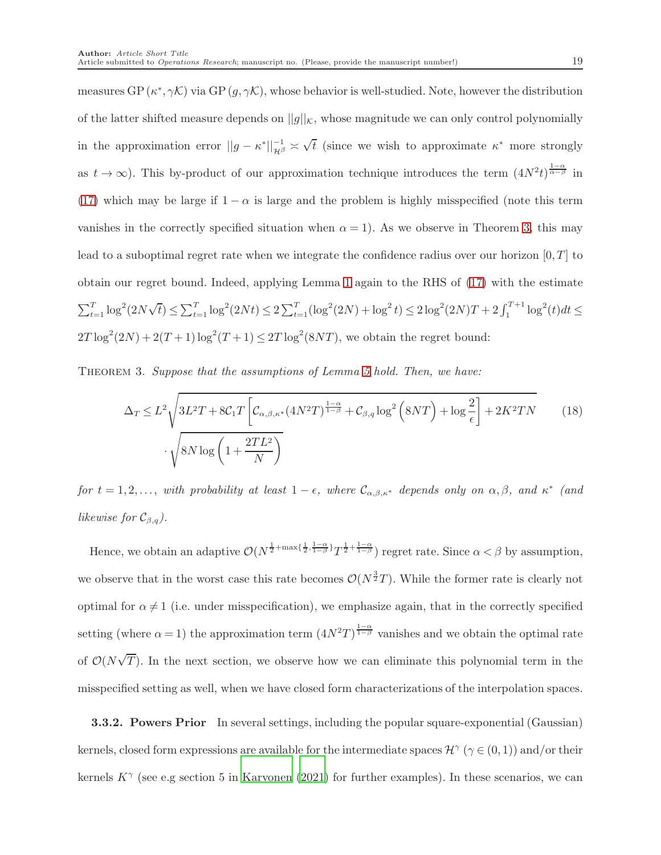measures  $GP(\kappa^*, \gamma \mathcal{K})$  via  $GP(g, \gamma \mathcal{K})$ , whose behavior is well-studied. Note, however the distribution of the latter shifted measure depends on  $||g||_K$ , whose magnitude we can only control polynomially in the approximation error  $||g - \kappa^*||_{\mathcal{H}^{\beta}}^{-1} \approx$  $\sqrt{t}$  (since we wish to approximate  $\kappa^*$  more strongly as  $t \to \infty$ ). This by-product of our approximation technique introduces the term  $(4N^2t)^{\frac{1-\alpha}{\alpha-\beta}}$  in [\(17\)](#page-17-1) which may be large if  $1 - \alpha$  is large and the problem is highly misspecified (note this term vanishes in the correctly specified situation when  $\alpha = 1$ ). As we observe in Theorem [3,](#page-18-0) this may lead to a suboptimal regret rate when we integrate the confidence radius over our horizon  $[0, T]$  to obtain our regret bound. Indeed, applying Lemma [1](#page-11-1) again to the RHS of [\(17\)](#page-17-1) with the estimate  $\begin{split} \sum_{t=1}^T \log^2(2N\sqrt{t}) & \leq \sum_{t=1}^T \log^2(2Nt) \leq 2\sum_{t=1}^T (\log^2(2N) + \log^2 t) \leq 2\log^2(2N)T + 2\int_1^{T+1} \log^2(t)dt \leq \end{split}$  $2T \log^2(2N) + 2(T+1) \log^2(T+1) \leq 2T \log^2(8NT)$ , we obtain the regret bound:

<span id="page-18-0"></span>Theorem 3. *Suppose that the assumptions of Lemma [5](#page-17-0) hold. Then, we have:*

$$
\Delta_T \le L^2 \sqrt{3L^2 T + 8C_1 T \left[ C_{\alpha,\beta,\kappa^*} (4N^2 T)^{\frac{1-\alpha}{1-\beta}} + C_{\beta,q} \log^2 (8NT) + \log \frac{2}{\epsilon} \right] + 2K^2 TN}
$$
(18)  

$$
\cdot \sqrt{8N \log \left( 1 + \frac{2TL^2}{N} \right)}
$$

*for*  $t = 1, 2, \ldots$ , *with probability at least*  $1 - \epsilon$ *, where*  $C_{\alpha,\beta,\kappa^*}$  *depends only on*  $\alpha, \beta$ *, and*  $\kappa^*$  *(and likewise for*  $\mathcal{C}_{\beta,q}$ *).* 

Hence, we obtain an adaptive  $\mathcal{O}(N^{\frac{1}{2}+\max\{\frac{1}{2},\frac{1-\alpha}{1-\beta}\}}T^{\frac{1}{2}+\frac{1-\alpha}{1-\beta}})$  regret rate. Since  $\alpha < \beta$  by assumption, we observe that in the worst case this rate becomes  $\mathcal{O}(N^{\frac{3}{2}}T)$ . While the former rate is clearly not optimal for  $\alpha \neq 1$  (i.e. under misspecification), we emphasize again, that in the correctly specified setting (where  $\alpha = 1$ ) the approximation term  $(4N^2T)^{\frac{1-\alpha}{1-\beta}}$  vanishes and we obtain the optimal rate of  $\mathcal{O}(N\sqrt{T})$ . In the next section, we observe how we can eliminate this polynomial term in the misspecified setting as well, when we have closed form characterizations of the interpolation spaces.

**3.3.2. Powers Prior** In several settings, including the popular square-exponential (Gaussian) kernels, closed form expressions are available for the intermediate spaces  $\mathcal{H}^{\gamma}(\gamma \in (0,1))$  and/or their kernels  $K^{\gamma}$  (see e.g section 5 in [Karvonen \(2021\)](#page-34-11) for further examples). In these scenarios, we can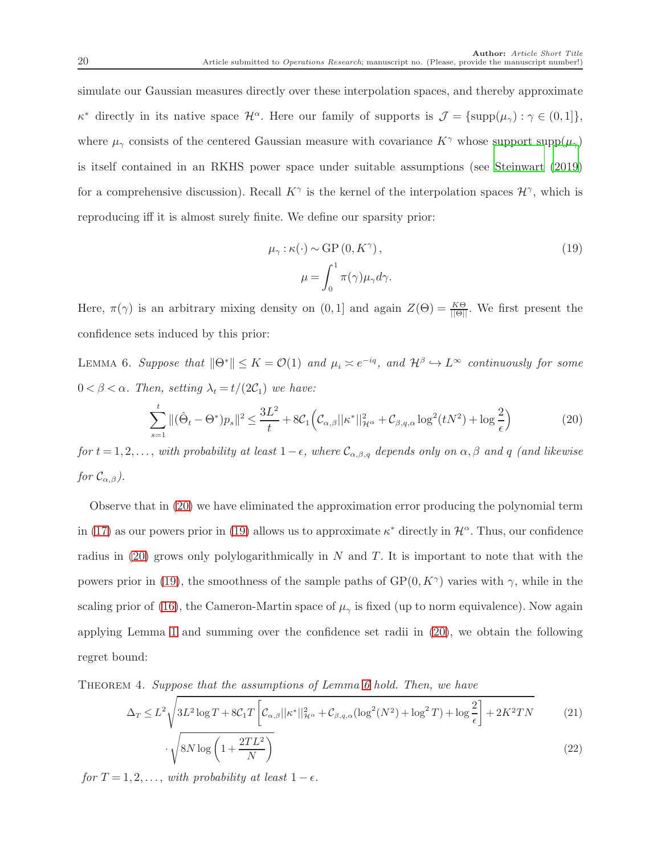simulate our Gaussian measures directly over these interpolation spaces, and thereby approximate  $\kappa^*$  directly in its native space  $\mathcal{H}^{\alpha}$ . Here our family of supports is  $\mathcal{J} = {\text{supp}}(\mu_{\gamma}) : \gamma \in (0,1]$ , where  $\mu_{\gamma}$  consists of the centered Gaussian measure with covariance  $K^{\gamma}$  whose support supp $(\mu_{\gamma})$ is itself contained in an RKHS power space under suitable assumptions (see [Steinwart \(2019\)](#page-35-6) for a comprehensive discussion). Recall  $K^{\gamma}$  is the kernel of the interpolation spaces  $\mathcal{H}^{\gamma}$ , which is reproducing iff it is almost surely finite. We define our sparsity prior:

<span id="page-19-1"></span>
$$
\mu_{\gamma}: \kappa(\cdot) \sim \text{GP}(0, K^{\gamma}),
$$
  

$$
\mu = \int_0^1 \pi(\gamma) \mu_{\gamma} d\gamma.
$$
 (19)

<span id="page-19-2"></span>Here,  $\pi(\gamma)$  is an arbitrary mixing density on  $(0,1]$  and again  $Z(\Theta) = \frac{K\Theta}{\|\Theta\|}$ . We first present the confidence sets induced by this prior:

LEMMA 6. Suppose that  $||\Theta^*|| \leq K = \mathcal{O}(1)$  and  $\mu_i \asymp e^{-iq}$ , and  $\mathcal{H}^{\beta} \hookrightarrow L^{\infty}$  continuously for some  $0 < \beta < \alpha$ . Then, setting  $\lambda_t = t/(2C_1)$  we have:

<span id="page-19-0"></span>
$$
\sum_{s=1}^{t} \|(\hat{\Theta}_t - \Theta^*)p_s\|^2 \le \frac{3L^2}{t} + 8\mathcal{C}_1 \Big(\mathcal{C}_{\alpha,\beta}||\kappa^*||^2_{\mathcal{H}^\alpha} + \mathcal{C}_{\beta,q,\alpha}\log^2(tN^2) + \log\frac{2}{\epsilon}\Big) \tag{20}
$$

*for*  $t = 1, 2, \ldots$ , *with probability at least*  $1 - \epsilon$ *, where*  $\mathcal{C}_{\alpha,\beta,q}$  *depends only on*  $\alpha, \beta$  *and* q *(and likewise for*  $\mathcal{C}_{\alpha,\beta}$ .

Observe that in [\(20\)](#page-19-0) we have eliminated the approximation error producing the polynomial term in [\(17\)](#page-17-1) as our powers prior in [\(19\)](#page-19-1) allows us to approximate  $\kappa^*$  directly in  $\mathcal{H}^{\alpha}$ . Thus, our confidence radius in [\(20\)](#page-19-0) grows only polylogarithmically in  $N$  and  $T$ . It is important to note that with the powers prior in [\(19\)](#page-19-1), the smoothness of the sample paths of  $\text{GP}(0, K^{\gamma})$  varies with  $\gamma$ , while in the scaling prior of [\(16\)](#page-17-2), the Cameron-Martin space of  $\mu_{\gamma}$  is fixed (up to norm equivalence). Now again applying Lemma [1](#page-11-1) and summing over the confidence set radii in [\(20\)](#page-19-0), we obtain the following regret bound:

<span id="page-19-3"></span>Theorem 4. *Suppose that the assumptions of Lemma [6](#page-19-2) hold. Then, we have*

$$
\Delta_T \le L^2 \sqrt{3L^2 \log T + 8C_1 T \left[ C_{\alpha,\beta} ||\kappa^*||_{\mathcal{H}^\alpha}^2 + C_{\beta,q,\alpha} (\log^2(N^2) + \log^2 T) + \log \frac{2}{\epsilon} \right] + 2K^2 TN}
$$
(21)

$$
\sqrt{8N\log\left(1+\frac{2TL^2}{N}\right)}\tag{22}
$$

*for*  $T = 1, 2, \ldots$ , *with probability at least*  $1 - \epsilon$ *.*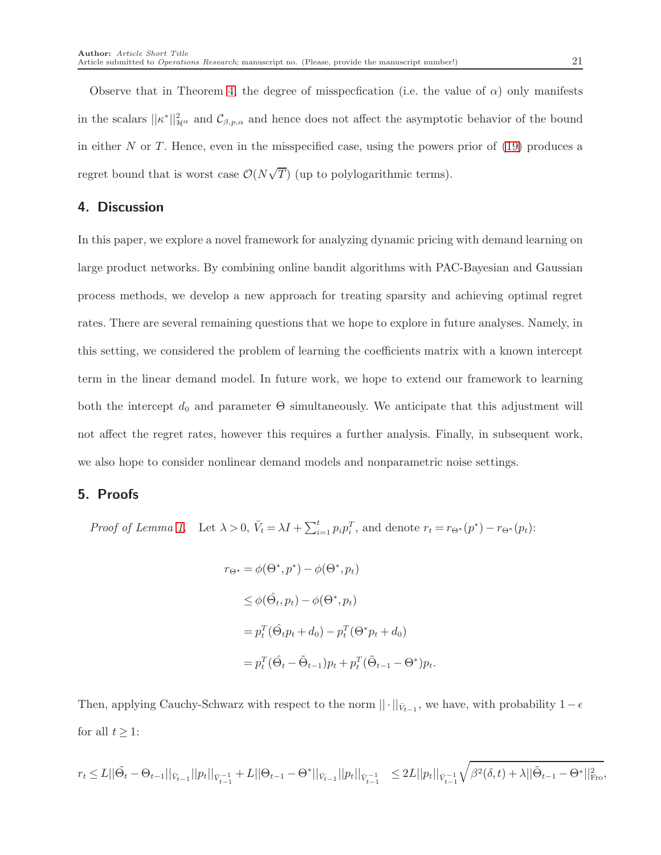Observe that in Theorem [4,](#page-19-3) the degree of misspecfication (i.e. the value of  $\alpha$ ) only manifests in the scalars  $||\kappa^*||^2_{\mathcal{H}^\alpha}$  and  $\mathcal{C}_{\beta,p,\alpha}$  and hence does not affect the asymptotic behavior of the bound in either  $N$  or  $T$ . Hence, even in the misspecified case, using the powers prior of  $(19)$  produces a regret bound that is worst case  $\mathcal{O}(N\sqrt{T})$  (up to polylogarithmic terms).

# 4. Discussion

In this paper, we explore a novel framework for analyzing dynamic pricing with demand learning on large product networks. By combining online bandit algorithms with PAC-Bayesian and Gaussian process methods, we develop a new approach for treating sparsity and achieving optimal regret rates. There are several remaining questions that we hope to explore in future analyses. Namely, in this setting, we considered the problem of learning the coefficients matrix with a known intercept term in the linear demand model. In future work, we hope to extend our framework to learning both the intercept  $d_0$  and parameter  $\Theta$  simultaneously. We anticipate that this adjustment will not affect the regret rates, however this requires a further analysis. Finally, in subsequent work, we also hope to consider nonlinear demand models and nonparametric noise settings.

# 5. Proofs

*Proof of Lemma [1.](#page-11-1)* Let  $\lambda > 0$ ,  $\bar{V}_t = \lambda I + \sum_{i=1}^t p_i p_i^T$ , and denote  $r_t = r_{\Theta^*}(p^*) - r_{\Theta^*}(p_t)$ :

$$
r_{\Theta^*} = \phi(\Theta^*, p^*) - \phi(\Theta^*, p_t)
$$
  
\n
$$
\leq \phi(\hat{\Theta}_t, p_t) - \phi(\Theta^*, p_t)
$$
  
\n
$$
= p_t^T(\hat{\Theta}_t p_t + d_0) - p_t^T(\Theta^* p_t + d_0)
$$
  
\n
$$
= p_t^T(\hat{\Theta}_t - \tilde{\Theta}_{t-1}) p_t + p_t^T(\tilde{\Theta}_{t-1} - \Theta^*) p_t
$$

Then, applying Cauchy-Schwarz with respect to the norm  $\|\cdot\|_{\bar{V}_{t-1}}$ , we have, with probability  $1-\epsilon$ for all  $t \geq 1$ :

.

$$
r_t \leq L||\tilde{\Theta_t} - \Theta_{t-1}||_{\bar{V}_{t-1}}||p_t||_{\bar{V}_{t-1}^{-1}} + L||\Theta_{t-1} - \Theta^*||_{\bar{V}_{t-1}}||p_t||_{\bar{V}_{t-1}^{-1}} \leq 2L||p_t||_{\bar{V}_{t-1}^{-1}}\sqrt{\beta^2(\delta,t)} + \lambda ||\tilde{\Theta}_{t-1} - \Theta^*||_{\text{Fro}}^2,
$$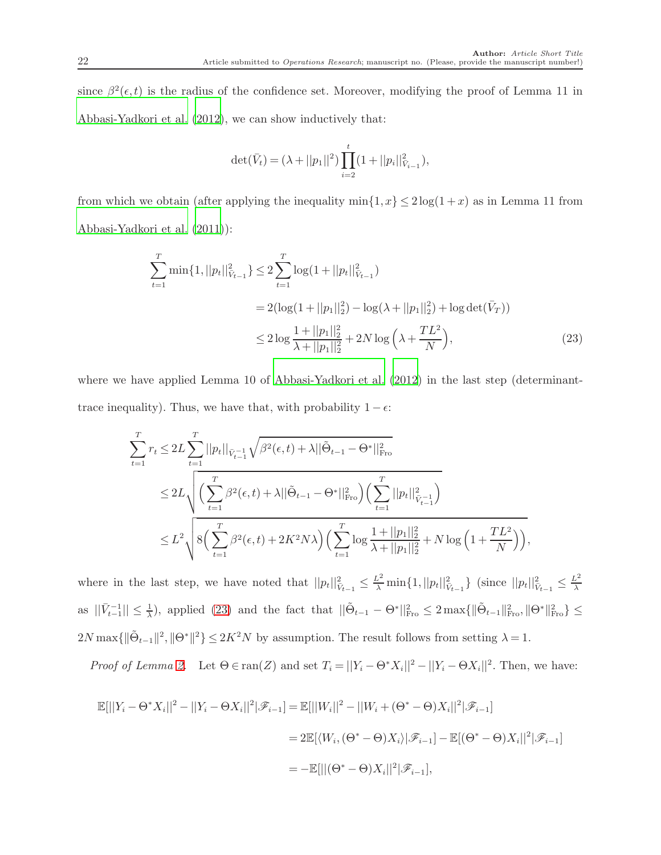since  $\beta^2(\epsilon, t)$  is the radius of the confidence set. Moreover, modifying the proof of Lemma 11 in [Abbasi-Yadkori et al. \(2012\)](#page-33-11), we can show inductively that:

<span id="page-21-0"></span>
$$
\det(\bar{V}_t) = (\lambda + ||p_1||^2) \prod_{i=2}^t (1 + ||p_i||_{\bar{V}_{i-1}}^2),
$$

from which we obtain (after applying the inequality  $\min\{1, x\} \leq 2\log(1+x)$  as in Lemma 11 from [Abbasi-Yadkori et al. \(2011\)](#page-32-0)):

$$
\sum_{t=1}^{T} \min\{1, ||p_t||_{V_{t-1}}^2\} \le 2 \sum_{t=1}^{T} \log(1 + ||p_t||_{V_{t-1}}^2)
$$
  
=  $2(\log(1 + ||p_1||_2^2) - \log(\lambda + ||p_1||_2^2) + \log \det(\bar{V}_T))$   
 $\le 2 \log \frac{1 + ||p_1||_2^2}{\lambda + ||p_1||_2^2} + 2N \log \left(\lambda + \frac{TL^2}{N}\right),$  (23)

where we have applied Lemma 10 of [Abbasi-Yadkori et al. \(2012](#page-33-11)) in the last step (determinanttrace inequality). Thus, we have that, with probability  $1 - \epsilon$ :

$$
\sum_{t=1}^{T} r_t \le 2L \sum_{t=1}^{T} ||p_t||_{\bar{V}_{t-1}} \sqrt{\beta^2(\epsilon, t) + \lambda ||\tilde{\Theta}_{t-1} - \Theta^*||_{\text{Fro}}^2}
$$
\n
$$
\le 2L \sqrt{\left(\sum_{t=1}^{T} \beta^2(\epsilon, t) + \lambda ||\tilde{\Theta}_{t-1} - \Theta^*||_{\text{Fro}}^2\right) \left(\sum_{t=1}^{T} ||p_t||_{\bar{V}_{t-1}}^2\right)}
$$
\n
$$
\le L^2 \sqrt{8\left(\sum_{t=1}^{T} \beta^2(\epsilon, t) + 2K^2 N \lambda\right) \left(\sum_{t=1}^{T} \log \frac{1 + ||p_1||_2^2}{\lambda + ||p_1||_2^2} + N \log \left(1 + \frac{TL^2}{N}\right)\right)},
$$

where in the last step, we have noted that  $||p_t||_{\tilde{V}_{t-1}}^2 \leq \frac{L^2}{\lambda} \min\{1, ||p_t||_{\tilde{V}_{t-1}}^2\}$  (since  $||p_t||_{\tilde{V}_{t-1}}^2 \leq \frac{L^2}{\lambda}$ λ as  $||\bar{V}_{t-1}^{-1}|| \leq \frac{1}{\lambda}$ , applied [\(23\)](#page-21-0) and the fact that  $||\tilde{\Theta}_{t-1} - \Theta^*||_{\text{Fro}}^2 \leq 2 \max\{||\tilde{\Theta}_{t-1}||_{\text{Fro}}^2, ||\Theta^*||_{\text{Fro}}^2\} \leq$  $2N \max\{\|\tilde{\Theta}_{t-1}\|^2, \|\Theta^*\|^2\} \leq 2K^2N$  by assumption. The result follows from setting  $\lambda = 1$ .

*Proof of Lemma [2.](#page-11-3)* Let  $\Theta \in \text{ran}(Z)$  and set  $T_i = ||Y_i - \Theta^* X_i||^2 - ||Y_i - \Theta X_i||^2$ . Then, we have:

$$
\mathbb{E}[||Y_i - \Theta^* X_i||^2 - ||Y_i - \Theta X_i||^2 | \mathcal{F}_{i-1}] = \mathbb{E}[||W_i||^2 - ||W_i + (\Theta^* - \Theta)X_i||^2 | \mathcal{F}_{i-1}]
$$
  
= 2 $\mathbb{E}[\langle W_i, (\Theta^* - \Theta)X_i \rangle | \mathcal{F}_{i-1}] - \mathbb{E}[(\Theta^* - \Theta)X_i||^2 | \mathcal{F}_{i-1}]$   
= - $\mathbb{E}[||(\Theta^* - \Theta)X_i||^2 | \mathcal{F}_{i-1}],$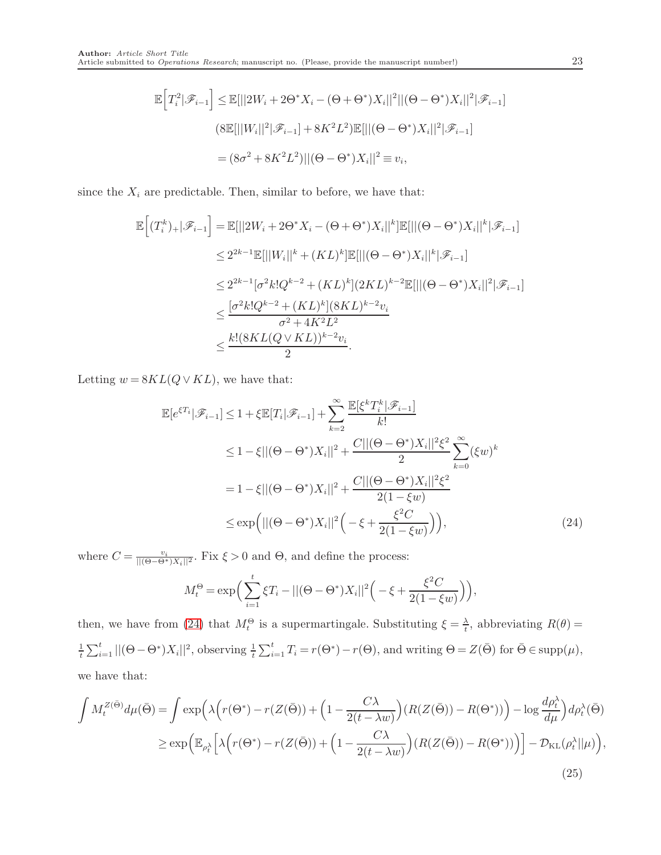$$
\mathbb{E}\Big[T_i^2|\mathscr{F}_{i-1}\Big] \leq \mathbb{E}[||2W_i + 2\Theta^* X_i - (\Theta + \Theta^*)X_i||^2||(\Theta - \Theta^*)X_i||^2|\mathscr{F}_{i-1}]
$$
  

$$
(8\mathbb{E}[||W_i||^2|\mathscr{F}_{i-1}] + 8K^2L^2)\mathbb{E}[||(\Theta - \Theta^*)X_i||^2|\mathscr{F}_{i-1}]
$$
  

$$
= (8\sigma^2 + 8K^2L^2)||(\Theta - \Theta^*)X_i||^2 \equiv v_i,
$$

since the  $X_i$  are predictable. Then, similar to before, we have that:

$$
\begin{aligned} \mathbb{E}\Big[(T_i^k)_+|\mathscr{F}_{i-1}\Big] & = \mathbb{E}[||2W_i+2\Theta^*X_i-(\Theta+\Theta^*)X_i||^k]\mathbb{E}[||(\Theta-\Theta^*)X_i||^k|\mathscr{F}_{i-1}] \\ & \leq 2^{2k-1}\mathbb{E}[||W_i||^k+(KL)^k]\mathbb{E}[||(\Theta-\Theta^*)X_i||^k|\mathscr{F}_{i-1}] \\ & \leq 2^{2k-1}[\sigma^2k!Q^{k-2}+(KL)^k](2KL)^{k-2}\mathbb{E}[||(\Theta-\Theta^*)X_i||^2|\mathscr{F}_{i-1}] \\ & \leq \frac{[\sigma^2k!Q^{k-2}+(KL)^k](8KL)^{k-2}v_i}{\sigma^2+4K^2L^2} \\ & \leq \frac{k!(8KL(Q\vee KL))^{k-2}v_i}{2}.\end{aligned}
$$

Letting  $w = 8KL(Q \vee KL)$ , we have that:

$$
\mathbb{E}[e^{\xi T_i}|\mathcal{F}_{i-1}] \le 1 + \xi \mathbb{E}[T_i|\mathcal{F}_{i-1}] + \sum_{k=2}^{\infty} \frac{\mathbb{E}[\xi^k T_i^k|\mathcal{F}_{i-1}]}{k!} \n\le 1 - \xi ||(\Theta - \Theta^*)X_i||^2 + \frac{C||(\Theta - \Theta^*)X_i||^2 \xi^2}{2} \sum_{k=0}^{\infty} (\xi w)^k \n= 1 - \xi ||(\Theta - \Theta^*)X_i||^2 + \frac{C||(\Theta - \Theta^*)X_i||^2 \xi^2}{2(1 - \xi w)} \n\le \exp\left(||(\Theta - \Theta^*)X_i||^2\left(-\xi + \frac{\xi^2 C}{2(1 - \xi w)}\right)\right),
$$
\n(24)

where  $C = \frac{v_i}{||(\Theta - \Theta^*)X_i||^2}$ . Fix  $\xi > 0$  and  $\Theta$ , and define the process:

<span id="page-22-1"></span><span id="page-22-0"></span>
$$
M_t^{\Theta} = \exp\bigg(\sum_{i=1}^t \xi T_i - ||(\Theta - \Theta^*)X_i||^2 \bigg(-\xi + \frac{\xi^2 C}{2(1 - \xi w)}\bigg)\bigg),
$$

then, we have from [\(24\)](#page-22-0) that  $M_t^{\Theta}$  is a supermartingale. Substituting  $\xi = \frac{\lambda}{t}$  $\frac{\lambda}{t}$ , abbreviating  $R(\theta) =$  $\frac{1}{t}\sum_{i=1}^t ||(\Theta - \Theta^*)X_i||^2$ , observing  $\frac{1}{t}\sum_{i=1}^t T_i = r(\Theta^*) - r(\Theta)$ , and writing  $\Theta = Z(\bar{\Theta})$  for  $\bar{\Theta} \in \text{supp}(\mu)$ , we have that:

$$
\int M_t^{Z(\bar{\Theta})} d\mu(\bar{\Theta}) = \int \exp\left(\lambda \Big(r(\Theta^*) - r(Z(\bar{\Theta})) + \Big(1 - \frac{C\lambda}{2(t - \lambda w)}\Big)(R(Z(\bar{\Theta})) - R(\Theta^*))\Big) - \log \frac{d\rho_t^{\lambda}}{d\mu}\Big)d\rho_t^{\lambda}(\bar{\Theta})
$$
\n
$$
\geq \exp\left(\mathbb{E}_{\rho_t^{\lambda}}\Big[\lambda \Big(r(\Theta^*) - r(Z(\bar{\Theta})) + \Big(1 - \frac{C\lambda}{2(t - \lambda w)}\Big)(R(Z(\bar{\Theta})) - R(\Theta^*))\Big)\Big] - \mathcal{D}_{\text{KL}}(\rho_t^{\lambda}||\mu)\right),\tag{25}
$$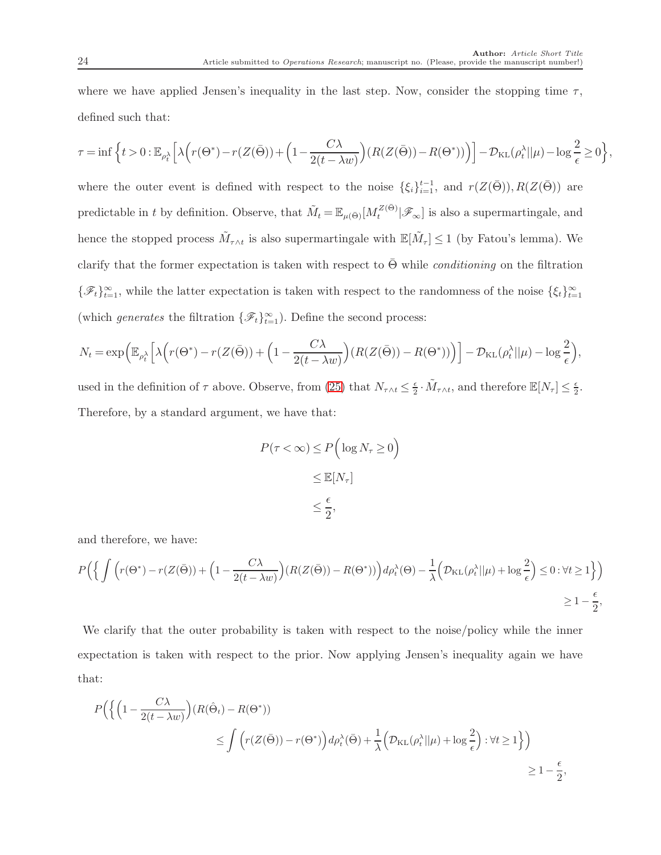where we have applied Jensen's inequality in the last step. Now, consider the stopping time  $\tau$ , defined such that:

$$
\tau = \inf \Big\{ t > 0: \mathbb{E}_{\rho_t^{\lambda}} \Big[ \lambda \Big( r(\Theta^*) - r(Z(\bar{\Theta})) + \Big( 1 - \frac{C \lambda}{2(t - \lambda w)} \Big) \big( R(Z(\bar{\Theta})) - R(\Theta^*)) \Big) \Big] - \mathcal{D}_{\mathrm{KL}}\big( \rho_t^{\lambda} || \mu \big) - \log \frac{2}{\epsilon} \geq 0 \Big\},
$$

where the outer event is defined with respect to the noise  $\{\xi_i\}_{i=1}^{t-1}$ , and  $r(Z(\bar{\Theta}))$ ,  $R(Z(\bar{\Theta}))$  are predictable in t by definition. Observe, that  $\tilde{M}_t = \mathbb{E}_{\mu(\bar{\Theta})}[M_t^{Z(\bar{\Theta})}|\mathscr{F}_{\infty}]$  is also a supermartingale, and hence the stopped process  $\tilde{M}_{\tau\wedge t}$  is also supermartingale with  $\mathbb{E}[\tilde{M}_{\tau}] \leq 1$  (by Fatou's lemma). We clarify that the former expectation is taken with respect to  $\bar{\Theta}$  while *conditioning* on the filtration  $\{\mathscr{F}_t\}_{t=1}^\infty$ , while the latter expectation is taken with respect to the randomness of the noise  $\{\xi_t\}_{t=1}^\infty$ (which *generates* the filtration  $\{\mathscr{F}_t\}_{t=1}^{\infty}$ ). Define the second process:

$$
N_t = \exp\left(\mathbb{E}_{\rho_t^{\lambda}}\left[\lambda\left(r(\Theta^*) - r(Z(\bar{\Theta})) + \left(1 - \frac{C\lambda}{2(t - \lambda w)}\right)(R(Z(\bar{\Theta})) - R(\Theta^*))\right)\right] - \mathcal{D}_{\text{KL}}(\rho_t^{\lambda}||\mu) - \log\frac{2}{\epsilon}\right),
$$

used in the definition of  $\tau$  above. Observe, from [\(25\)](#page-22-1) that  $N_{\tau \wedge t} \leq \frac{\epsilon}{2}$  $\frac{\epsilon}{2} \cdot \tilde{M}_{\tau \wedge t}$ , and therefore  $\mathbb{E}[N_{\tau}] \leq \frac{\epsilon}{2}$  $\frac{\epsilon}{2}$ . Therefore, by a standard argument, we have that:

$$
P(\tau < \infty) \le P\left(\log N_{\tau} \ge 0\right)
$$

$$
\le \mathbb{E}[N_{\tau}]
$$

$$
\le \frac{\epsilon}{2},
$$

and therefore, we have:

$$
P\Big(\Big\{\int \Big(r(\Theta^*) - r(Z(\bar{\Theta})) + \Big(1 - \frac{C\lambda}{2(t - \lambda w)}\Big)\big(R(Z(\bar{\Theta})) - R(\Theta^*))\Big)d\rho_t^{\lambda}(\Theta) - \frac{1}{\lambda}\Big(\mathcal{D}_{\mathrm{KL}}(\rho_t^{\lambda}||\mu) + \log\frac{2}{\epsilon}\Big) \le 0: \forall t \ge 1\Big\}\Big)
$$
  

$$
\ge 1 - \frac{\epsilon}{2},
$$

We clarify that the outer probability is taken with respect to the noise/policy while the inner expectation is taken with respect to the prior. Now applying Jensen's inequality again we have that:

$$
P\Big(\Big\{\Big(1-\frac{C\lambda}{2(t-\lambda w)}\Big)(R(\hat{\Theta}_t)-R(\Theta^*))\Big)
$$
  
 
$$
\leq \int \Big(r(Z(\bar{\Theta})) - r(\Theta^*)\Big)d\rho_t^{\lambda}(\bar{\Theta}) + \frac{1}{\lambda}\Big(\mathcal{D}_{\text{KL}}(\rho_t^{\lambda}||\mu) + \log\frac{2}{\epsilon}\Big): \forall t \geq 1\Big\}\Big)
$$
  
 
$$
\geq 1 - \frac{\epsilon}{2},
$$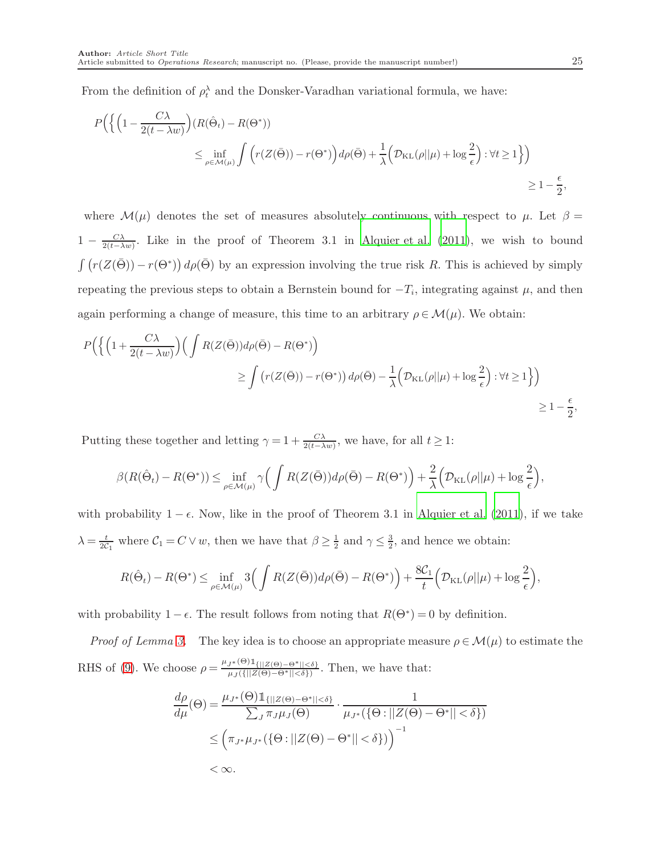From the definition of  $\rho_t^{\lambda}$  and the Donsker-Varadhan variational formula, we have:

$$
P\Big(\Big\{\Big(1-\frac{C\lambda}{2(t-\lambda w)}\Big)(R(\hat{\Theta}_t)-R(\Theta^*))\Big)\\
\leq \inf_{\rho\in\mathcal{M}(\mu)}\int \Big(r(Z(\bar{\Theta}))-r(\Theta^*)\Big)d\rho(\bar{\Theta})+\frac{1}{\lambda}\Big(\mathcal{D}_{\text{KL}}(\rho||\mu)+\log\frac{2}{\epsilon}\Big):\forall t\geq 1\Big\}\Big)\\
\geq 1-\frac{\epsilon}{2},
$$

where  $\mathcal{M}(\mu)$  denotes the set of measures absolutely continuous with respect to  $\mu$ . Let  $\beta =$  $1 - \frac{C\lambda}{2(t-\lambda)}$  $\frac{C\lambda}{2(t-\lambda w)}$ . Like in the proof of Theorem 3.1 in [Alquier et al. \(2011\)](#page-33-9), we wish to bound  $\int (r(Z(\bar{\Theta})) - r(\Theta^*)) d\rho(\bar{\Theta})$  by an expression involving the true risk R. This is achieved by simply repeating the previous steps to obtain a Bernstein bound for  $-T_i$ , integrating against  $\mu$ , and then again performing a change of measure, this time to an arbitrary  $\rho \in \mathcal{M}(\mu)$ . We obtain:

$$
P\Big(\Big\{\Big(1+\frac{C\lambda}{2(t-\lambda w)}\Big)\Big(\int R(Z(\bar{\Theta}))d\rho(\bar{\Theta}) - R(\Theta^*)\Big) \Big\}
$$
  
 
$$
\geq \int \left(r(Z(\bar{\Theta})) - r(\Theta^*)\right)d\rho(\bar{\Theta}) - \frac{1}{\lambda}\Big(\mathcal{D}_{\text{KL}}(\rho||\mu) + \log\frac{2}{\epsilon}\Big): \forall t \geq 1\Big\}\Big)
$$
  
 
$$
\geq 1 - \frac{\epsilon}{2},
$$

Putting these together and letting  $\gamma = 1 + \frac{C\lambda}{2(t-\lambda w)}$ , we have, for all  $t \ge 1$ :

$$
\beta(R(\hat{\Theta}_t) - R(\Theta^*)) \leq \inf_{\rho \in \mathcal{M}(\mu)} \gamma \Big( \int R(Z(\bar{\Theta})) d\rho(\bar{\Theta}) - R(\Theta^*) \Big) + \frac{2}{\lambda} \Big( \mathcal{D}_{\text{KL}}(\rho || \mu) + \log \frac{2}{\epsilon} \Big),
$$

with probability  $1 - \epsilon$ . Now, like in the proof of Theorem 3.1 in [Alquier et al. \(2011\)](#page-33-9), if we take  $\lambda = \frac{t}{2c}$  $\frac{t}{2c_1}$  where  $C_1 = C \vee w$ , then we have that  $\beta \geq \frac{1}{2}$  $\frac{1}{2}$  and  $\gamma \leq \frac{3}{2}$  $\frac{3}{2}$ , and hence we obtain:

$$
R(\hat{\Theta}_t) - R(\Theta^*) \leq \inf_{\rho \in \mathcal{M}(\mu)} 3\Big(\int R(Z(\bar{\Theta}))d\rho(\bar{\Theta}) - R(\Theta^*)\Big) + \frac{8\mathcal{C}_1}{t} \Big(\mathcal{D}_{\text{KL}}(\rho||\mu) + \log \frac{2}{\epsilon}\Big),
$$

with probability  $1 - \epsilon$ . The result follows from noting that  $R(\Theta^*) = 0$  by definition.

*Proof of Lemma [3.](#page-13-2)* The key idea is to choose an appropriate measure  $\rho \in \mathcal{M}(\mu)$  to estimate the RHS of [\(9\)](#page-12-1). We choose  $\rho = \frac{\mu_{J^*}(\Theta) \mathbb{1}_{\{|Z(\Theta) = \Theta^*| \leq \delta\}}}{\mu_{J^*}(\{|Z(\Theta) = \Theta^*| \leq \delta\})}$  $\frac{\int_{\mathcal{J}^*(\mathcal{O})^{\perp}\{||Z(\Theta)-\Theta^*||<\delta\}}}{\mu_J(\{||Z(\Theta)-\Theta^*||<\delta\})}$ . Then, we have that:

$$
\frac{d\rho}{d\mu}(\Theta) = \frac{\mu_{J^*}(\Theta) \mathbb{1}_{\{||Z(\Theta) - \Theta^*|| < \delta\}}}{\sum_J \pi_J \mu_J(\Theta)} \cdot \frac{1}{\mu_{J^*}(\{\Theta : ||Z(\Theta) - \Theta^*|| < \delta\})}
$$
  

$$
\leq \left(\pi_{J^*} \mu_{J^*}(\{\Theta : ||Z(\Theta) - \Theta^*|| < \delta\})\right)^{-1}
$$
  
<  $\infty$ .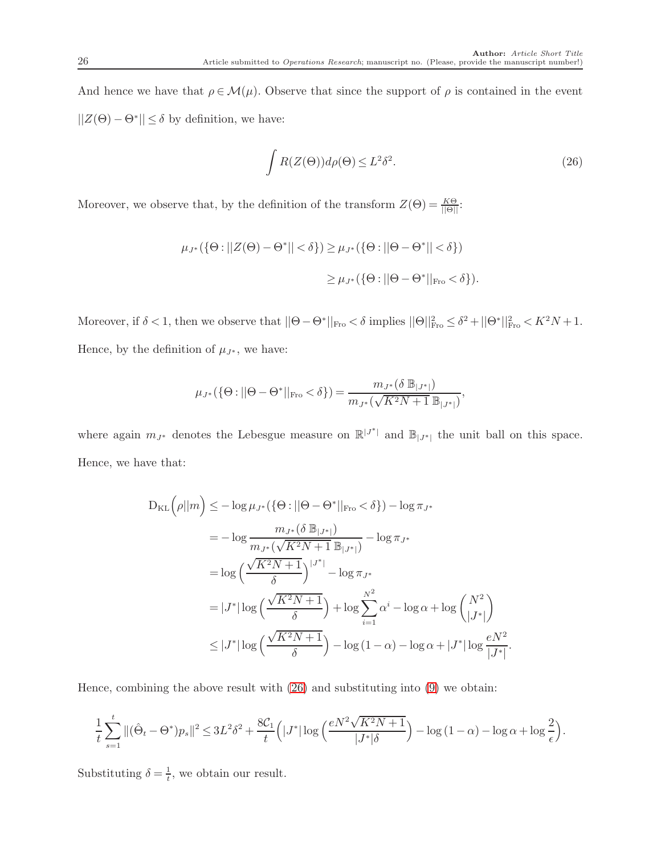And hence we have that  $\rho \in \mathcal{M}(\mu)$ . Observe that since the support of  $\rho$  is contained in the event  $||Z(\Theta) - \Theta^*|| \le \delta$  by definition, we have:

<span id="page-25-0"></span>
$$
\int R(Z(\Theta))d\rho(\Theta) \le L^2 \delta^2. \tag{26}
$$

Moreover, we observe that, by the definition of the transform  $Z(\Theta) = \frac{K\Theta}{\|\Theta\|}$ :

$$
\mu_{J^*}(\{\Theta: ||Z(\Theta) - \Theta^*|| < \delta\}) \ge \mu_{J^*}(\{\Theta: ||\Theta - \Theta^*|| < \delta\})
$$
  

$$
\ge \mu_{J^*}(\{\Theta: ||\Theta - \Theta^*||_{\text{Fro}} < \delta\}).
$$

Moreover, if  $\delta < 1$ , then we observe that  $||\Theta - \Theta^*||_{\text{Fro}} < \delta$  implies  $||\Theta||_{\text{Fro}}^2 \leq \delta^2 + ||\Theta^*||_{\text{Fro}}^2 < K^2 N + 1$ . Hence, by the definition of  $\mu_{J^*}$ , we have:

$$
\mu_{J^*}(\{\Theta : ||\Theta - \Theta^*||_{\text{Fro}} < \delta\}) = \frac{m_{J^*}(\delta \mathbb{B}_{|J^*|})}{m_{J^*}(\sqrt{K^2 N + 1} \mathbb{B}_{|J^*|})},
$$

where again  $m_{J^*}$  denotes the Lebesgue measure on  $\mathbb{R}^{|J^*|}$  and  $\mathbb{B}_{|J^*|}$  the unit ball on this space. Hence, we have that:

$$
D_{KL}(\rho||m) \le -\log \mu_{J^*}(\{\Theta : ||\Theta - \Theta^*||_{\text{Fro}} < \delta\}) - \log \pi_{J^*}
$$
  
=  $-\log \frac{m_{J^*}(\delta \mathbb{B}_{|J^*|})}{m_{J^*}(\sqrt{K^2N+1} \mathbb{B}_{|J^*|})} - \log \pi_{J^*}$   
=  $\log \left(\frac{\sqrt{K^2N+1}}{\delta}\right)^{|J^*|} - \log \pi_{J^*}$   
=  $|J^*| \log \left(\frac{\sqrt{K^2N+1}}{\delta}\right) + \log \sum_{i=1}^{N^2} \alpha^i - \log \alpha + \log \binom{N^2}{|J^*|}$   
 $\le |J^*| \log \left(\frac{\sqrt{K^2N+1}}{\delta}\right) - \log (1-\alpha) - \log \alpha + |J^*| \log \frac{eN^2}{|J^*|}.$ 

Hence, combining the above result with [\(26\)](#page-25-0) and substituting into [\(9\)](#page-12-1) we obtain:

$$
\frac{1}{t}\sum_{s=1}^t\|(\hat{\Theta}_t-\Theta^*)p_s\|^2\leq 3L^2\delta^2+\frac{8\mathcal{C}_1}{t}\Big(|J^*|\log\Big(\frac{eN^2\sqrt{K^2N+1}}{|J^*|\delta}\Big)-\log{(1-\alpha)}-\log{\alpha}+\log{\frac{2}{\epsilon}}\Big).
$$

Substituting  $\delta = \frac{1}{t}$ , we obtain our result.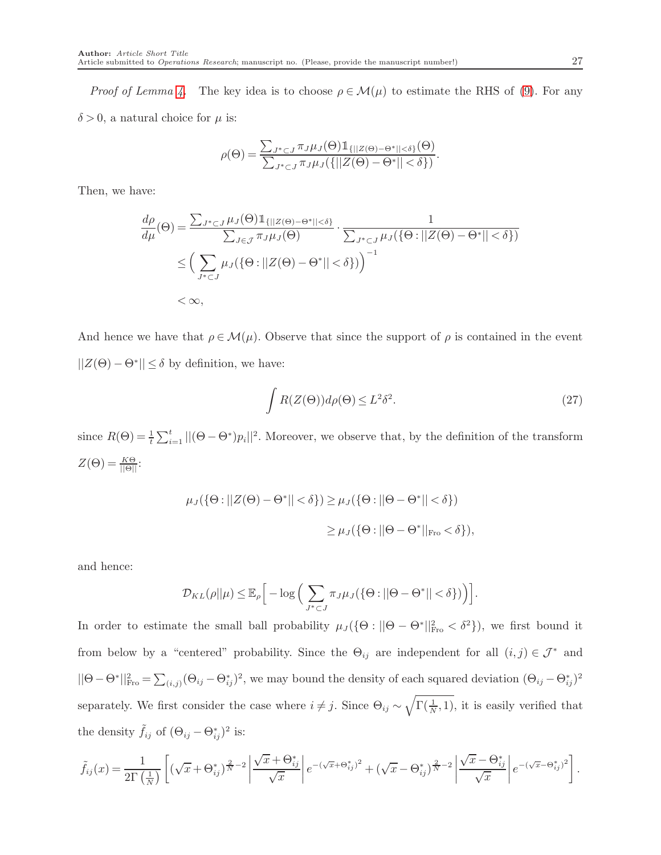*Proof of Lemma [4.](#page-15-3)* The key idea is to choose  $\rho \in \mathcal{M}(\mu)$  to estimate the RHS of [\(9\)](#page-12-1). For any  $\delta > 0$ , a natural choice for  $\mu$  is:

$$
\rho(\Theta) = \frac{\sum_{J^* \subset J} \pi_J \mu_J(\Theta) \mathbb{1}_{\{||Z(\Theta) - \Theta^*|| < \delta\}}(\Theta)}{\sum_{J^* \subset J} \pi_J \mu_J(\{||Z(\Theta) - \Theta^*|| < \delta\})}
$$

Then, we have:

$$
\frac{d\rho}{d\mu}(\Theta) = \frac{\sum_{J^* \subset J} \mu_J(\Theta) \mathbb{1}_{\{||Z(\Theta) - \Theta^*|| < \delta\}}}{\sum_{J \in \mathcal{J}} \pi_J \mu_J(\Theta)} \cdot \frac{1}{\sum_{J^* \subset J} \mu_J(\{\Theta : ||Z(\Theta) - \Theta^*|| < \delta\})}
$$
\n
$$
\leq \left(\sum_{J^* \subset J} \mu_J(\{\Theta : ||Z(\Theta) - \Theta^*|| < \delta\})\right)^{-1}
$$
\n
$$
< \infty,
$$

And hence we have that  $\rho \in \mathcal{M}(\mu)$ . Observe that since the support of  $\rho$  is contained in the event  $||Z(\Theta) - \Theta^*|| \le \delta$  by definition, we have:

<span id="page-26-0"></span>
$$
\int R(Z(\Theta))d\rho(\Theta) \le L^2 \delta^2. \tag{27}
$$

.

since  $R(\Theta) = \frac{1}{t} \sum_{i=1}^{t} ||(\Theta - \Theta^*)p_i||^2$ . Moreover, we observe that, by the definition of the transform  $Z(\Theta) = \frac{K\Theta}{\|\Theta\|}$ :

$$
\mu_J(\{\Theta: ||Z(\Theta) - \Theta^*|| < \delta\}) \ge \mu_J(\{\Theta: ||\Theta - \Theta^*|| < \delta\})
$$
  

$$
\ge \mu_J(\{\Theta: ||\Theta - \Theta^*||_{\text{Fro}} < \delta\}),
$$

and hence:

$$
\mathcal{D}_{KL}(\rho||\mu) \leq \mathbb{E}_{\rho}\Big[-\log\Big(\sum_{J^* \subset J} \pi_J \mu_J(\{\Theta : ||\Theta - \Theta^*|| < \delta\})\Big)\Big].
$$

In order to estimate the small ball probability  $\mu_J(\{\Theta : ||\Theta - \Theta^*||_{\text{Fro}}^2 < \delta^2\})$ , we first bound it from below by a "centered" probability. Since the  $\Theta_{ij}$  are independent for all  $(i, j) \in \mathcal{J}^*$  and  $||\Theta - \Theta^*||_{\text{Fro}}^2 = \sum_{(i,j)} (\Theta_{ij} - \Theta^*_{ij})^2$ , we may bound the density of each squared deviation  $(\Theta_{ij} - \Theta^*_{ij})^2$ separately. We first consider the case where  $i \neq j$ . Since  $\Theta_{ij} \sim \sqrt{\Gamma(\frac{1}{N},1)}$ , it is easily verified that the density  $\tilde{f}_{ij}$  of  $(\Theta_{ij} - \Theta_{ij}^*)^2$  is:

$$
\tilde{f}_{ij}(x) = \frac{1}{2\Gamma(\frac{1}{N})} \left[ \left( \sqrt{x} + \Theta_{ij}^* \right) \frac{\partial^2}{\partial x^2} - 2 \left( \frac{\sqrt{x} + \Theta_{ij}^*}{\sqrt{x}} \right) e^{-(\sqrt{x} + \Theta_{ij}^*)^2} + \left( \sqrt{x} - \Theta_{ij}^* \right) \frac{\partial^2}{\partial x^2} - 2 \left( \frac{\sqrt{x} - \Theta_{ij}^*}{\sqrt{x}} \right) e^{-(\sqrt{x} - \Theta_{ij}^*)^2} \right].
$$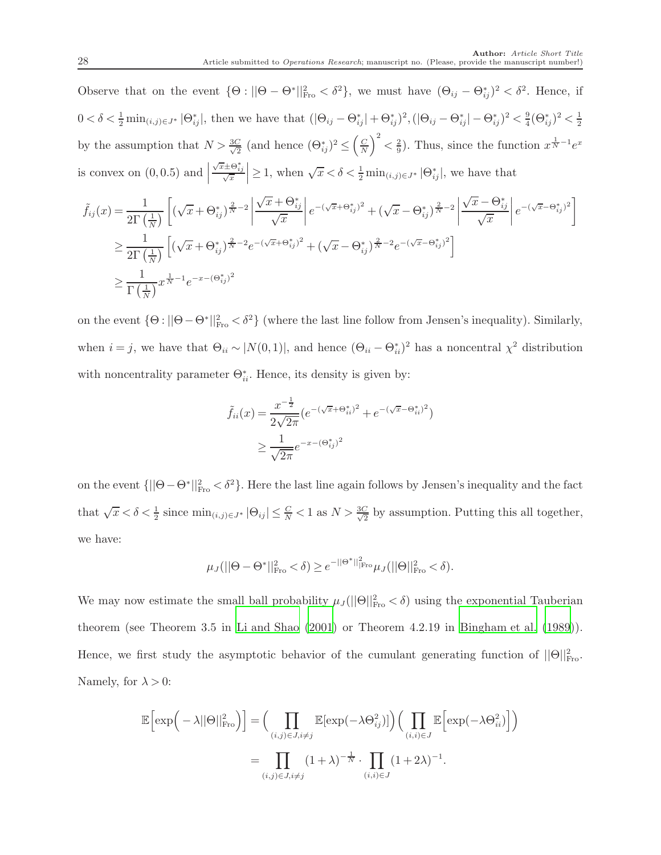Observe that on the event  $\{\Theta : ||\Theta - \Theta^*||_{\text{Fro}}^2 < \delta^2\}$ , we must have  $(\Theta_{ij} - \Theta_{ij}^*)^2 < \delta^2$ . Hence, if  $0 < \delta < \frac{1}{2} \min_{(i,j) \in J^*} |\Theta^*_{ij}|$ , then we have that  $(|\Theta_{ij} - \Theta^*_{ij}| + \Theta^*_{ij})^2$ ,  $(|\Theta_{ij} - \Theta^*_{ij}| - \Theta^*_{ij})^2 < \frac{9}{4}$  $\frac{9}{4}(\Theta_{ij}^*)^2 < \frac{1}{2}$ 2 by the assumption that  $N > \frac{3C}{\sqrt{2}}$  $\frac{C}{2}$  (and hence  $(\Theta_{ij}^*)^2 \leq \left(\frac{C}{N}\right)$  $\left(\frac{C}{N}\right)^2 < \frac{2}{9}$  $\frac{2}{9}$ ). Thus, since the function  $x^{\frac{1}{N}-1}e^x$ is convex on  $(0, 0.5)$  and  $\Big|$  $\frac{\sqrt{x} \pm \Theta_{ij}^*}{\sqrt{x}} \geq 1$ , when  $\sqrt{x} < \delta < \frac{1}{2} \min_{(i,j) \in J^*} |\Theta_{ij}^*|$ , we have that

$$
\tilde{f}_{ij}(x) = \frac{1}{2\Gamma(\frac{1}{N})} \left[ (\sqrt{x} + \Theta_{ij}^*)^{\frac{2}{N} - 2} \left| \frac{\sqrt{x} + \Theta_{ij}^*}{\sqrt{x}} \right| e^{-(\sqrt{x} + \Theta_{ij}^*)^2} + (\sqrt{x} - \Theta_{ij}^*)^{\frac{2}{N} - 2} \left| \frac{\sqrt{x} - \Theta_{ij}^*}{\sqrt{x}} \right| e^{-(\sqrt{x} - \Theta_{ij}^*)^2} \right]
$$
\n
$$
\geq \frac{1}{2\Gamma(\frac{1}{N})} \left[ (\sqrt{x} + \Theta_{ij}^*)^{\frac{2}{N} - 2} e^{-(\sqrt{x} + \Theta_{ij}^*)^2} + (\sqrt{x} - \Theta_{ij}^*)^{\frac{2}{N} - 2} e^{-(\sqrt{x} - \Theta_{ij}^*)^2} \right]
$$
\n
$$
\geq \frac{1}{\Gamma(\frac{1}{N})} x^{\frac{1}{N} - 1} e^{-x - (\Theta_{ij}^*)^2}
$$

on the event  $\{\Theta : ||\Theta - \Theta^*||_{\text{Fro}}^2 < \delta^2\}$  (where the last line follow from Jensen's inequality). Similarly, when  $i = j$ , we have that  $\Theta_{ii} \sim |N(0,1)|$ , and hence  $(\Theta_{ii} - \Theta_{ii}^*)^2$  has a noncentral  $\chi^2$  distribution with noncentrality parameter  $\Theta_{ii}^*$ . Hence, its density is given by:

$$
\tilde{f}_{ii}(x) = \frac{x^{-\frac{1}{2}}}{2\sqrt{2\pi}} \left(e^{-(\sqrt{x} + \Theta_{ii}^*)^2} + e^{-(\sqrt{x} - \Theta_{ii}^*)^2}\right)
$$
\n
$$
\geq \frac{1}{\sqrt{2\pi}} e^{-x - (\Theta_{ij}^*)^2}
$$

on the event  $\{||\Theta - \Theta^*||_{\text{Fro}}^2 < \delta^2\}$ . Here the last line again follows by Jensen's inequality and the fact that  $\sqrt{x} < \delta < \frac{1}{2}$  since  $\min_{(i,j) \in J^*} |\Theta_{ij}| \leq \frac{C}{N} < 1$  as  $N > \frac{3C}{\sqrt{2}}$  $\frac{2}{2}$  by assumption. Putting this all together, we have:

$$
\mu_J(||\Theta - \Theta^*||_{\text{Fro}}^2 < \delta) \ge e^{-||\Theta^*||_{\text{Fro}}^2} \mu_J(||\Theta||_{\text{Fro}}^2 < \delta).
$$

We may now estimate the small ball probability  $\mu_J(||\Theta||_{\text{Fro}}^2 < \delta)$  using the exponential Tauberian theorem (see Theorem 3.5 in [Li and Shao \(2001\)](#page-35-12) or Theorem 4.2.19 in [Bingham et al. \(1989\)](#page-33-12)). Hence, we first study the asymptotic behavior of the cumulant generating function of  $||\Theta||_{\text{Fro}}^2$ . Namely, for  $\lambda > 0$ :

$$
\mathbb{E}\left[\exp\left(-\lambda||\Theta||_{\text{Fro}}^2\right)\right] = \Big(\prod_{(i,j)\in J, i\neq j} \mathbb{E}[\exp(-\lambda\Theta_{ij}^2)]\Big) \Big(\prod_{(i,i)\in J} \mathbb{E}\left[\exp(-\lambda\Theta_{ii}^2)\right]\Big)
$$

$$
= \prod_{(i,j)\in J, i\neq j} (1+\lambda)^{-\frac{1}{N}} \cdot \prod_{(i,i)\in J} (1+2\lambda)^{-1}.
$$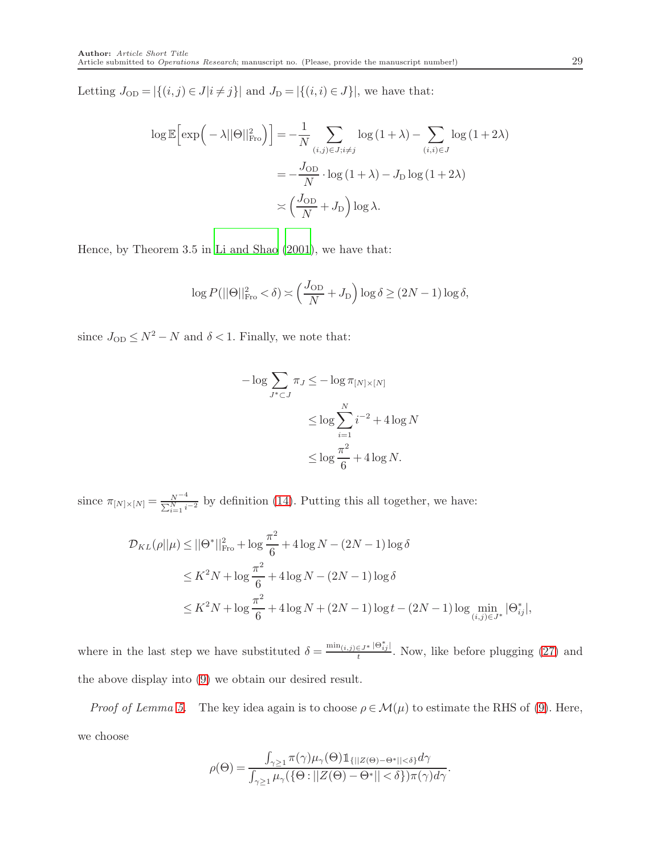Letting  $J_{OD} = |\{(i, j) \in J | i \neq j\}|$  and  $J_D = |\{(i, i) \in J\}|$ , we have that:

$$
\log \mathbb{E} \left[ \exp \left( -\lambda ||\Theta||_{\text{Fro}}^2 \right) \right] = -\frac{1}{N} \sum_{(i,j) \in J; i \neq j} \log (1 + \lambda) - \sum_{(i,i) \in J} \log (1 + 2\lambda)
$$

$$
= -\frac{J_{OD}}{N} \cdot \log (1 + \lambda) - J_D \log (1 + 2\lambda)
$$

$$
\asymp \left( \frac{J_{OD}}{N} + J_D \right) \log \lambda.
$$

Hence, by Theorem 3.5 in [Li and Shao \(2001\)](#page-35-12), we have that:

$$
\log P(||\Theta||_{\text{Fro}}^2 < \delta) \asymp \left(\frac{J_{\text{OD}}}{N} + J_{\text{D}}\right) \log \delta \ge (2N - 1) \log \delta,
$$

since  $J_{\rm OD} \leq N^2 - N$  and  $\delta < 1.$  Finally, we note that:

$$
-\log \sum_{J^* \subset J} \pi_J \le -\log \pi_{[N] \times [N]}
$$
  

$$
\le \log \sum_{i=1}^N i^{-2} + 4 \log N
$$
  

$$
\le \log \frac{\pi^2}{6} + 4 \log N.
$$

since  $\pi_{[N] \times [N]} = \frac{N^{-4}}{\sum_{i=1}^{N} i}$  $\frac{N}{\sum_{i=1}^{N} i^{-2}}$  by definition [\(14\)](#page-15-0). Putting this all together, we have:

$$
\mathcal{D}_{KL}(\rho||\mu) \le ||\Theta^*||_{\text{Fro}}^2 + \log \frac{\pi^2}{6} + 4\log N - (2N - 1)\log \delta
$$
  

$$
\le K^2 N + \log \frac{\pi^2}{6} + 4\log N - (2N - 1)\log \delta
$$
  

$$
\le K^2 N + \log \frac{\pi^2}{6} + 4\log N + (2N - 1)\log t - (2N - 1)\log \min_{(i,j) \in J^*} |\Theta^*_{ij}|,
$$

where in the last step we have substituted  $\delta = \frac{\min_{(i,j)\in J^*} |\Theta^*_{ij}|}{l}$  $\frac{\epsilon_j}{t}$ . Now, like before plugging [\(27\)](#page-26-0) and the above display into [\(9\)](#page-12-1) we obtain our desired result.

*Proof of Lemma [5.](#page-17-0)* The key idea again is to choose  $\rho \in \mathcal{M}(\mu)$  to estimate the RHS of [\(9\)](#page-12-1). Here, we choose

$$
\rho(\Theta) = \frac{\int_{\gamma \geq 1} \pi(\gamma) \mu_{\gamma}(\Theta) \mathbb{1}_{\{||Z(\Theta) - \Theta^*|| < \delta\}} d\gamma}{\int_{\gamma \geq 1} \mu_{\gamma}(\{\Theta : ||Z(\Theta) - \Theta^*|| < \delta\}) \pi(\gamma) d\gamma}.
$$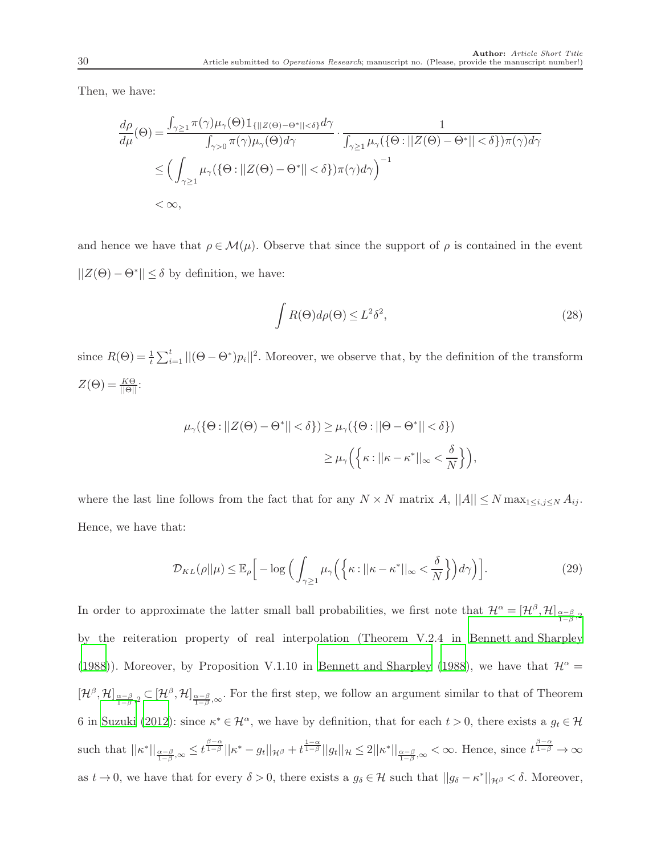Then, we have:

$$
\frac{d\rho}{d\mu}(\Theta) = \frac{\int_{\gamma \geq 1} \pi(\gamma) \mu_{\gamma}(\Theta) \mathbb{1}_{\{||Z(\Theta) - \Theta^*|| < \delta\}} d\gamma}{\int_{\gamma > 0} \pi(\gamma) \mu_{\gamma}(\Theta) d\gamma} \cdot \frac{1}{\int_{\gamma \geq 1} \mu_{\gamma}(\{\Theta : ||Z(\Theta) - \Theta^*|| < \delta\}) \pi(\gamma) d\gamma}
$$
\n
$$
\leq \left(\int_{\gamma \geq 1} \mu_{\gamma}(\{\Theta : ||Z(\Theta) - \Theta^*|| < \delta\}) \pi(\gamma) d\gamma\right)^{-1}
$$
\n
$$
< \infty,
$$

and hence we have that  $\rho \in \mathcal{M}(\mu)$ . Observe that since the support of  $\rho$  is contained in the event  $||Z(\Theta) - \Theta^*|| \le \delta$  by definition, we have:

<span id="page-29-1"></span>
$$
\int R(\Theta) d\rho(\Theta) \le L^2 \delta^2,\tag{28}
$$

since  $R(\Theta) = \frac{1}{t} \sum_{i=1}^{t} ||(\Theta - \Theta^*)p_i||^2$ . Moreover, we observe that, by the definition of the transform  $Z(\Theta) = \frac{K\Theta}{\|\Theta\|}$ :

$$
\mu_{\gamma}(\{\Theta : ||Z(\Theta) - \Theta^*|| < \delta\}) \ge \mu_{\gamma}(\{\Theta : ||\Theta - \Theta^*|| < \delta\})
$$
  

$$
\ge \mu_{\gamma}\Big(\Big\{\kappa : ||\kappa - \kappa^*||_{\infty} < \frac{\delta}{N}\Big\}\Big),
$$

where the last line follows from the fact that for any  $N \times N$  matrix  $A$ ,  $||A|| \leq N \max_{1 \leq i,j \leq N} A_{ij}$ . Hence, we have that:

<span id="page-29-0"></span>
$$
\mathcal{D}_{KL}(\rho||\mu) \leq \mathbb{E}_{\rho} \Big[ -\log \Big( \int_{\gamma \geq 1} \mu_{\gamma} \Big( \Big\{ \kappa : ||\kappa - \kappa^*||_{\infty} < \frac{\delta}{N} \Big\} \Big) d\gamma \Big) \Big]. \tag{29}
$$

In order to approximate the latter small ball probabilities, we first note that  $\mathcal{H}^{\alpha} = [\mathcal{H}^{\beta}, \mathcal{H}]_{\frac{\alpha-\beta}{1-\beta},2}$ by the reiteration property of real interpolation (Theorem V.2.4 in [Bennett and Sharpley](#page-33-13) [\(1988](#page-33-13))). Moreover, by Proposition V.1.10 in [Bennett and Sharpley \(1988\)](#page-33-13), we have that  $\mathcal{H}^{\alpha} =$  $[\mathcal{H}^{\beta},\mathcal{H}]_{\frac{\alpha-\beta}{1-\beta},2} \subset [\mathcal{H}^{\beta},\mathcal{H}]_{\frac{\alpha-\beta}{1-\beta},\infty}$ . For the first step, we follow an argument similar to that of Theorem 6 in [Suzuki \(2012](#page-35-5)): since  $\kappa^* \in \mathcal{H}^{\alpha}$ , we have by definition, that for each  $t > 0$ , there exists a  $g_t \in \mathcal{H}$ such that  $||\kappa^*||_{\frac{\alpha-\beta}{1-\beta},\infty} \leq t^{\frac{\beta-\alpha}{1-\beta}}||\kappa^* - g_t||_{\mathcal{H}^{\beta}} + t^{\frac{1-\alpha}{1-\beta}}||g_t||_{\mathcal{H}} \leq 2||\kappa^*||_{\frac{\alpha-\beta}{1-\beta},\infty} < \infty$ . Hence, since  $t^{\frac{\beta-\alpha}{1-\beta}} \to \infty$ as  $t \to 0$ , we have that for every  $\delta > 0$ , there exists a  $g_{\delta} \in \mathcal{H}$  such that  $||g_{\delta} - \kappa^*||_{\mathcal{H}^{\beta}} < \delta$ . Moreover,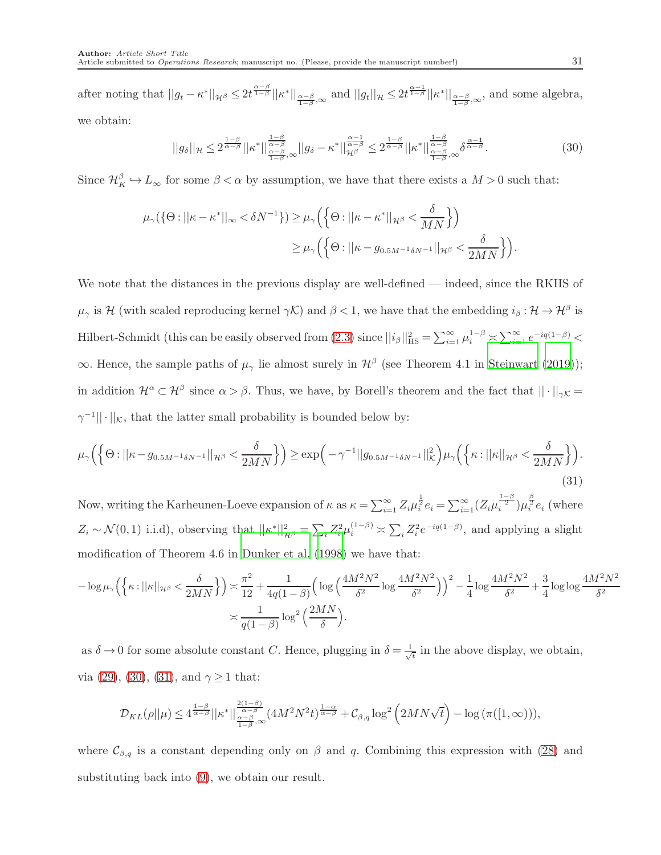after noting that  $||g_t - \kappa^*||_{\mathcal{H}^{\beta}} \leq 2t^{\frac{\alpha-\beta}{1-\beta}}||\kappa^*||_{\frac{\alpha-\beta}{1-\beta},\infty}$  and  $||g_t||_{\mathcal{H}} \leq 2t^{\frac{\alpha-1}{1-\beta}}||\kappa^*||_{\frac{\alpha-\beta}{1-\beta},\infty}$ , and some algebra, we obtain:

<span id="page-30-0"></span>
$$
||g_{\delta}||_{\mathcal{H}} \leq 2^{\frac{1-\beta}{\alpha-\beta}}||\kappa^*||^{\frac{1-\beta}{\alpha-\beta}}_{\frac{\alpha-\beta}{1-\beta},\infty}||g_{\delta}-\kappa^*||^{\frac{\alpha-1}{\alpha-\beta}}_{\mathcal{H}^{\beta}} \leq 2^{\frac{1-\beta}{\alpha-\beta}}||\kappa^*||^{\frac{1-\beta}{\alpha-\beta}}_{\frac{\alpha-\beta}{1-\beta},\infty} \delta^{\frac{\alpha-1}{\alpha-\beta}}.
$$
 (30)

Since  $\mathcal{H}_K^{\beta} \hookrightarrow L_{\infty}$  for some  $\beta < \alpha$  by assumption, we have that there exists a  $M > 0$  such that:

$$
\mu_{\gamma}(\{\Theta: ||\kappa - \kappa^*||_{\infty} < \delta N^{-1}\}) \geq \mu_{\gamma}\left(\left\{\Theta: ||\kappa - \kappa^*||_{\mathcal{H}^{\beta}} < \frac{\delta}{MN}\right\}\right)
$$

$$
\geq \mu_{\gamma}\left(\left\{\Theta: ||\kappa - g_{0.5M^{-1}\delta N^{-1}}||_{\mathcal{H}^{\beta}} < \frac{\delta}{2MN}\right\}\right).
$$

We note that the distances in the previous display are well-defined — indeed, since the RKHS of  $\mu_{\gamma}$  is H (with scaled reproducing kernel  $\gamma \mathcal{K}$ ) and  $\beta < 1$ , we have that the embedding  $i_{\beta} : \mathcal{H} \to \mathcal{H}^{\beta}$  is Hilbert-Schmidt (this can be easily observed from  $(2.3)$  since  $||i_\beta||_{\text{HS}}^2 = \sum_{i=1}^{\infty} \mu_i^{1-\beta} \asymp \sum_{i=1}^{\infty} e^{-iq(1-\beta)}$  $\infty$ . Hence, the sample paths of  $\mu_{\gamma}$  lie almost surely in  $\mathcal{H}^{\beta}$  (see Theorem 4.1 in [Steinwart \(2019\)](#page-35-6)); in addition  $\mathcal{H}^{\alpha} \subset \mathcal{H}^{\beta}$  since  $\alpha > \beta$ . Thus, we have, by Borell's theorem and the fact that  $||\cdot||_{\gamma\mathcal{K}} =$  $\gamma^{-1}$ || · || $\kappa$ , that the latter small probability is bounded below by:

<span id="page-30-1"></span>
$$
\mu_{\gamma}\Big(\Big\{\Theta:||\kappa - g_{0.5M^{-1}\delta N^{-1}}||_{\mathcal{H}^{\beta}} < \frac{\delta}{2MN}\Big\}\Big) \geq \exp\Big(-\gamma^{-1}||g_{0.5M^{-1}\delta N^{-1}}||_{\mathcal{K}}^{2}\Big)\mu_{\gamma}\Big(\Big\{\kappa:||\kappa||_{\mathcal{H}^{\beta}} < \frac{\delta}{2MN}\Big\}\Big). \tag{31}
$$

Now, writing the Karheunen-Loeve expansion of  $\kappa$  as  $\kappa = \sum_{i=1}^{\infty} Z_i \mu_i^{\frac{1}{2}} e_i = \sum_{i=1}^{\infty} (Z_i \mu_i^{\frac{1-\beta}{2}}) \mu_i^{\frac{\beta}{2}} e_i$  (where  $Z_i \sim \mathcal{N}(0, 1)$  i.i.d), observing that  $||\kappa^*||_{\mathcal{H}^{\beta}}^2 = \sum_i Z_i^2 \mu_i^{(1-\beta)} \asymp \sum_i Z_i^2 e^{-iq(1-\beta)}$ , and applying a slight modification of Theorem 4.6 in [Dunker et al. \(1998\)](#page-34-12) we have that:

$$
-\log \mu_{\gamma}\left(\left\{\kappa : ||\kappa||_{\mathcal{H}^{\beta}} < \frac{\delta}{2MN}\right\}\right) \asymp \frac{\pi^2}{12} + \frac{1}{4q(1-\beta)} \left(\log \left(\frac{4M^2N^2}{\delta^2} \log \frac{4M^2N^2}{\delta^2}\right)\right)^2 - \frac{1}{4} \log \frac{4M^2N^2}{\delta^2} + \frac{3}{4} \log \log \frac{4M^2N^2}{\delta^2}
$$
\n
$$
\asymp \frac{1}{q(1-\beta)} \log^2 \left(\frac{2MN}{\delta}\right).
$$

as  $\delta \to 0$  for some absolute constant C. Hence, plugging in  $\delta = \frac{1}{\sqrt{2}}$  $\frac{1}{t}$  in the above display, we obtain, via [\(29\)](#page-29-0), [\(30\)](#page-30-0), [\(31\)](#page-30-1), and  $\gamma \ge 1$  that:

$$
\mathcal{D}_{KL}(\rho||\mu)\leq 4^{\frac{1-\beta}{\alpha-\beta}}||\kappa^*||^{\frac{2(1-\beta)}{\alpha-\beta}}_{\frac{\alpha-\beta}{1-\beta},\infty}(4M^2N^2t)^{\frac{1-\alpha}{\alpha-\beta}}+\mathcal{C}_{\beta,q}\log^2\left(2MN\sqrt{t}\right)-\log\big(\pi([1,\infty))\big),
$$

where  $\mathcal{C}_{\beta,q}$  is a constant depending only on  $\beta$  and q. Combining this expression with [\(28\)](#page-29-1) and substituting back into [\(9\)](#page-12-1), we obtain our result.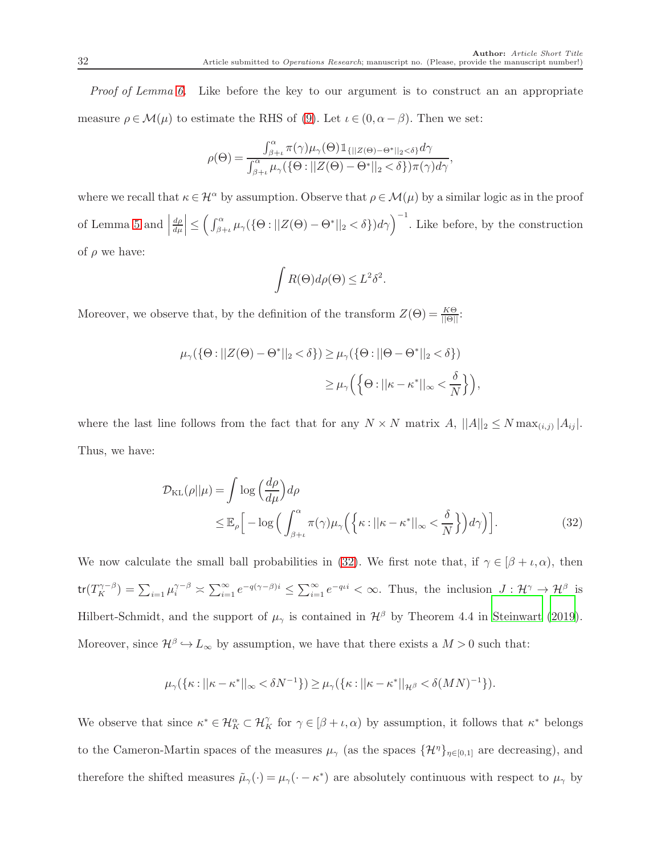*Proof of Lemma [6.](#page-19-2)* Like before the key to our argument is to construct an an appropriate measure  $\rho \in \mathcal{M}(\mu)$  to estimate the RHS of [\(9\)](#page-12-1). Let  $\iota \in (0, \alpha - \beta)$ . Then we set:

$$
\rho(\Theta) = \frac{\int_{\beta+\iota}^{\alpha} \pi(\gamma)\mu_{\gamma}(\Theta) \mathbb{1}_{\{||Z(\Theta) - \Theta^*||_2 < \delta\}} d\gamma}{\int_{\beta+\iota}^{\alpha} \mu_{\gamma}(\{\Theta : ||Z(\Theta) - \Theta^*||_2 < \delta\}) \pi(\gamma) d\gamma},
$$

where we recall that  $\kappa \in \mathcal{H}^{\alpha}$  by assumption. Observe that  $\rho \in \mathcal{M}(\mu)$  by a similar logic as in the proof of Lemma [5](#page-17-0) and  $\Big|$ dρ  $\left| \frac{d\rho}{d\mu} \right| \leq \left( \int_{\beta+\iota}^{\alpha} \mu_{\gamma}(\{\Theta : ||Z(\Theta) - \Theta^*||_2 < \delta\}) d\gamma \right)^{-1}$ . Like before, by the construction of  $\rho$  we have:

<span id="page-31-0"></span>
$$
\int R(\Theta)d\rho(\Theta) \leq L^2 \delta^2.
$$

Moreover, we observe that, by the definition of the transform  $Z(\Theta) = \frac{K\Theta}{\|\Theta\|}$ :

$$
\mu_{\gamma}(\{\Theta : ||Z(\Theta) - \Theta^*||_2 < \delta\}) \ge \mu_{\gamma}(\{\Theta : ||\Theta - \Theta^*||_2 < \delta\})
$$
  

$$
\ge \mu_{\gamma}\Big(\Big\{\Theta : ||\kappa - \kappa^*||_{\infty} < \frac{\delta}{N}\Big\}\Big),
$$

where the last line follows from the fact that for any  $N \times N$  matrix  $A$ ,  $||A||_2 \le N \max_{(i,j)} |A_{ij}|$ . Thus, we have:

$$
\mathcal{D}_{\text{KL}}(\rho||\mu) = \int \log \left(\frac{d\rho}{d\mu}\right) d\rho
$$
  
\n
$$
\leq \mathbb{E}_{\rho} \Big[ -\log \Big( \int_{\beta + \iota}^{\alpha} \pi(\gamma) \mu_{\gamma} \Big( \Big\{ \kappa : ||\kappa - \kappa^*||_{\infty} < \frac{\delta}{N} \Big\} \Big) d\gamma \Big) \Big].
$$
\n(32)

We now calculate the small ball probabilities in [\(32\)](#page-31-0). We first note that, if  $\gamma \in [\beta + \iota, \alpha)$ , then  $\text{tr}(T_K^{\gamma-\beta}) = \sum_{i=1} \mu_i^{\gamma-\beta} \asymp \sum_{i=1}^{\infty} e^{-q(\gamma-\beta)i} \leq \sum_{i=1}^{\infty} e^{-q\iota i} < \infty$ . Thus, the inclusion  $J: \mathcal{H}^{\gamma} \to \mathcal{H}^{\beta}$  is Hilbert-Schmidt, and the support of  $\mu_{\gamma}$  is contained in  $\mathcal{H}^{\beta}$  by Theorem 4.4 in [Steinwart \(2019\)](#page-35-6). Moreover, since  $\mathcal{H}^{\beta} \hookrightarrow L_{\infty}$  by assumption, we have that there exists a  $M > 0$  such that:

$$
\mu_{\gamma}(\{\kappa:||\kappa-\kappa^*||_{\infty}<\delta N^{-1}\})\geq \mu_{\gamma}(\{\kappa:||\kappa-\kappa^*||_{\mathcal{H}^{\beta}}<\delta(MN)^{-1}\}).
$$

We observe that since  $\kappa^* \in \mathcal{H}_K^{\alpha} \subset \mathcal{H}_K^{\gamma}$  for  $\gamma \in [\beta + \iota, \alpha)$  by assumption, it follows that  $\kappa^*$  belongs to the Cameron-Martin spaces of the measures  $\mu_{\gamma}$  (as the spaces  $\{\mathcal{H}^{\eta}\}_{\eta\in[0,1]}$  are decreasing), and therefore the shifted measures  $\tilde{\mu}_{\gamma}(\cdot) = \mu_{\gamma}(\cdot - \kappa^*)$  are absolutely continuous with respect to  $\mu_{\gamma}$  by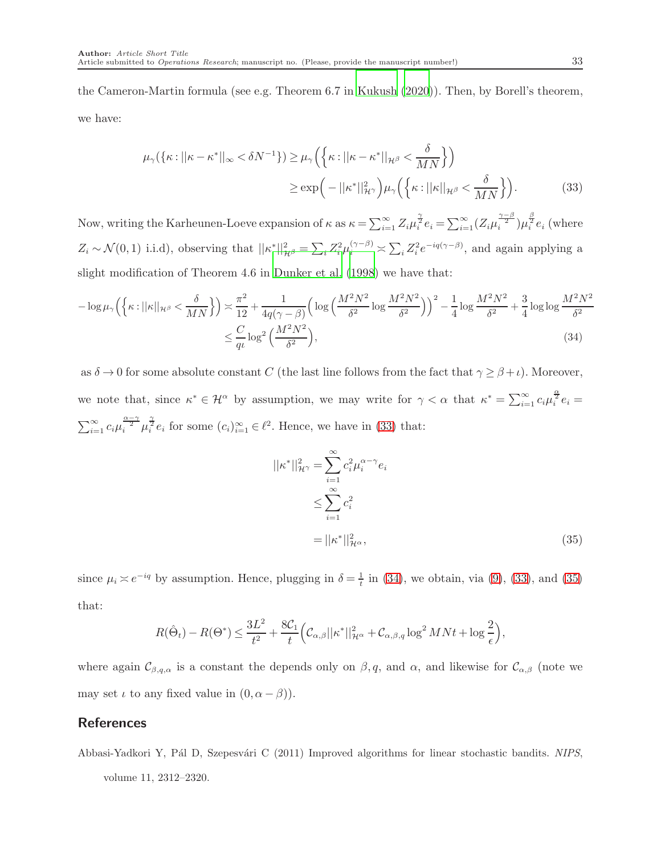the Cameron-Martin formula (see e.g. Theorem 6.7 in [Kukush \(2020\)](#page-35-13)). Then, by Borell's theorem, we have:

$$
\mu_{\gamma}(\{\kappa: ||\kappa - \kappa^*||_{\infty} < \delta N^{-1}\}) \ge \mu_{\gamma}\left(\{\kappa: ||\kappa - \kappa^*||_{\mathcal{H}^{\beta}} < \frac{\delta}{MN}\}\right)
$$

$$
\ge \exp\left(-||\kappa^*||_{\mathcal{H}^{\gamma}}^2\right)\mu_{\gamma}\left(\{\kappa: ||\kappa||_{\mathcal{H}^{\beta}} < \frac{\delta}{MN}\}\right).
$$
(33)

Now, writing the Karheunen-Loeve expansion of  $\kappa$  as  $\kappa = \sum_{i=1}^{\infty} Z_i \mu_i^{\frac{\gamma}{2}} e_i = \sum_{i=1}^{\infty} (Z_i \mu_i^{\frac{\gamma-\beta}{2}}) \mu_i^{\frac{\beta}{2}} e_i$  (where  $Z_i \sim \mathcal{N}(0, 1)$  i.i.d), observing that  $||\kappa^*||_{\mathcal{H}^{\beta}}^2 = \sum_i Z_i^2 \mu_i^{(\gamma-\beta)} \asymp \sum_i Z_i^2 e^{-iq(\gamma-\beta)}$ , and again applying a slight modification of Theorem 4.6 in [Dunker et al. \(1998\)](#page-34-12) we have that:

$$
-\log \mu_{\gamma}\left(\left\{\kappa: ||\kappa||_{\mathcal{H}^{\beta}} < \frac{\delta}{MN}\right\}\right) \asymp \frac{\pi^2}{12} + \frac{1}{4q(\gamma - \beta)} \left(\log \left(\frac{M^2 N^2}{\delta^2} \log \frac{M^2 N^2}{\delta^2}\right)\right)^2 - \frac{1}{4} \log \frac{M^2 N^2}{\delta^2} + \frac{3}{4} \log \log \frac{M^2 N^2}{\delta^2} \right)
$$
\n
$$
\leq \frac{C}{q\iota} \log^2 \left(\frac{M^2 N^2}{\delta^2}\right),\tag{34}
$$

as  $\delta \to 0$  for some absolute constant C (the last line follows from the fact that  $\gamma \geq \beta + \iota$ ). Moreover, we note that, since  $\kappa^* \in \mathcal{H}^{\alpha}$  by assumption, we may write for  $\gamma < \alpha$  that  $\kappa^* = \sum_{i=1}^{\infty} c_i \mu_i^{\frac{\alpha}{2}} e_i =$  $\sum_{i=1}^{\infty} c_i \mu_i^{\frac{\alpha-\gamma}{2}} \mu_i^{\frac{\gamma}{2}} e_i$  for some  $(c_i)_{i=1}^{\infty} \in \ell^2$ . Hence, we have in [\(33\)](#page-32-1) that:

<span id="page-32-3"></span><span id="page-32-2"></span><span id="page-32-1"></span>
$$
||\kappa^*||_{\mathcal{H}^{\gamma}}^2 = \sum_{i=1}^{\infty} c_i^2 \mu_i^{\alpha - \gamma} e_i
$$
  

$$
\leq \sum_{i=1}^{\infty} c_i^2
$$
  

$$
= ||\kappa^*||_{\mathcal{H}^{\alpha}}^2,
$$
 (35)

since  $\mu_i \approx e^{-iq}$  by assumption. Hence, plugging in  $\delta = \frac{1}{t}$  in [\(34\)](#page-32-2), we obtain, via [\(9\)](#page-12-1), [\(33\)](#page-32-1), and [\(35\)](#page-32-3) that:

$$
R(\hat{\Theta}_t) - R(\Theta^*) \le \frac{3L^2}{t^2} + \frac{8\mathcal{C}_1}{t} \Big(\mathcal{C}_{\alpha,\beta}||\kappa^*||_{\mathcal{H}^\alpha}^2 + \mathcal{C}_{\alpha,\beta,q} \log^2 MNt + \log\frac{2}{\epsilon}\Big),
$$

where again  $\mathcal{C}_{\beta,q,\alpha}$  is a constant the depends only on  $\beta,q$ , and  $\alpha$ , and likewise for  $\mathcal{C}_{\alpha,\beta}$  (note we may set  $\iota$  to any fixed value in  $(0, \alpha - \beta)$ .

## References

<span id="page-32-0"></span>Abbasi-Yadkori Y, Pál D, Szepesvári C (2011) Improved algorithms for linear stochastic bandits. *NIPS*, volume 11, 2312–2320.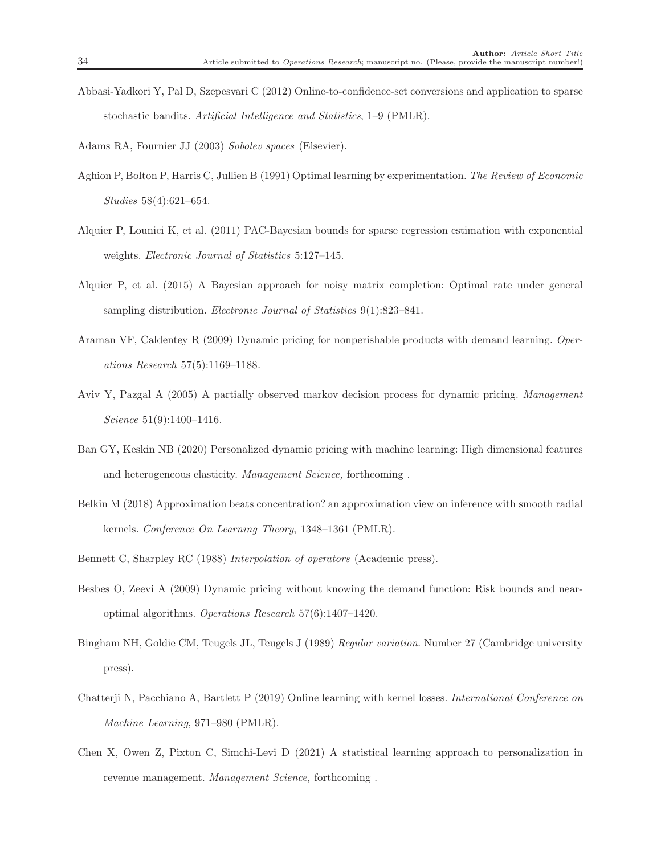<span id="page-33-11"></span>Abbasi-Yadkori Y, Pal D, Szepesvari C (2012) Online-to-confidence-set conversions and application to sparse stochastic bandits. *Artificial Intelligence and Statistics*, 1–9 (PMLR).

<span id="page-33-6"></span>Adams RA, Fournier JJ (2003) *Sobolev spaces* (Elsevier).

- <span id="page-33-0"></span>Aghion P, Bolton P, Harris C, Jullien B (1991) Optimal learning by experimentation. *The Review of Economic Studies* 58(4):621–654.
- <span id="page-33-9"></span>Alquier P, Lounici K, et al. (2011) PAC-Bayesian bounds for sparse regression estimation with exponential weights. *Electronic Journal of Statistics* 5:127–145.
- <span id="page-33-10"></span>Alquier P, et al. (2015) A Bayesian approach for noisy matrix completion: Optimal rate under general sampling distribution. *Electronic Journal of Statistics* 9(1):823–841.
- <span id="page-33-2"></span>Araman VF, Caldentey R (2009) Dynamic pricing for nonperishable products with demand learning. *Operations Research* 57(5):1169–1188.
- <span id="page-33-1"></span>Aviv Y, Pazgal A (2005) A partially observed markov decision process for dynamic pricing. *Management Science* 51(9):1400–1416.
- <span id="page-33-5"></span>Ban GY, Keskin NB (2020) Personalized dynamic pricing with machine learning: High dimensional features and heterogeneous elasticity. *Management Science,* forthcoming .
- <span id="page-33-8"></span>Belkin M (2018) Approximation beats concentration? an approximation view on inference with smooth radial kernels. *Conference On Learning Theory*, 1348–1361 (PMLR).
- <span id="page-33-13"></span>Bennett C, Sharpley RC (1988) *Interpolation of operators* (Academic press).
- <span id="page-33-3"></span>Besbes O, Zeevi A (2009) Dynamic pricing without knowing the demand function: Risk bounds and nearoptimal algorithms. *Operations Research* 57(6):1407–1420.
- <span id="page-33-12"></span>Bingham NH, Goldie CM, Teugels JL, Teugels J (1989) *Regular variation*. Number 27 (Cambridge university press).
- <span id="page-33-7"></span>Chatterji N, Pacchiano A, Bartlett P (2019) Online learning with kernel losses. *International Conference on Machine Learning*, 971–980 (PMLR).
- <span id="page-33-4"></span>Chen X, Owen Z, Pixton C, Simchi-Levi D (2021) A statistical learning approach to personalization in revenue management. *Management Science,* forthcoming .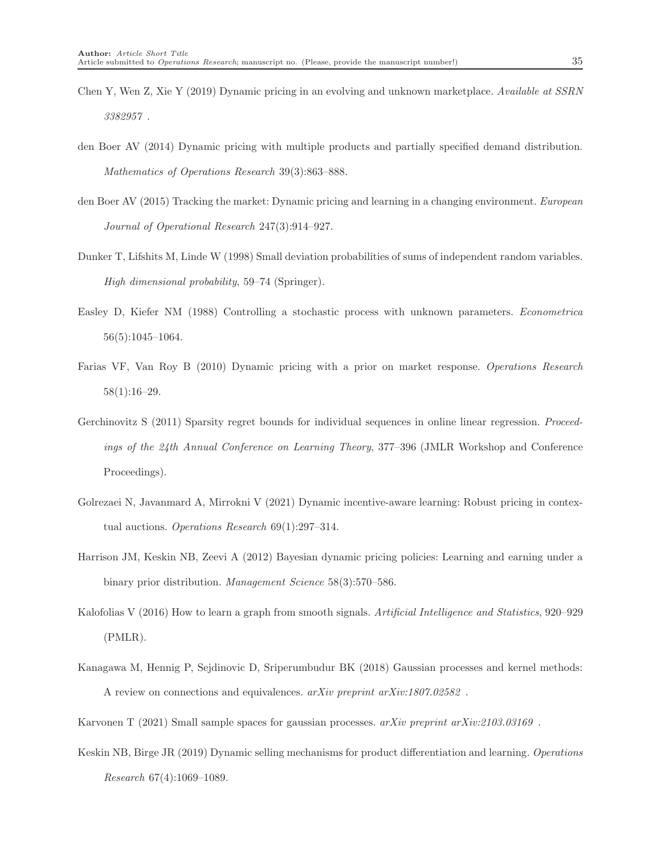- <span id="page-34-5"></span>Chen Y, Wen Z, Xie Y (2019) Dynamic pricing in an evolving and unknown marketplace. *Available at SSRN 3382957* .
- <span id="page-34-6"></span>den Boer AV (2014) Dynamic pricing with multiple products and partially specified demand distribution. *Mathematics of Operations Research* 39(3):863–888.
- <span id="page-34-4"></span>den Boer AV (2015) Tracking the market: Dynamic pricing and learning in a changing environment. *European Journal of Operational Research* 247(3):914–927.
- <span id="page-34-12"></span>Dunker T, Lifshits M, Linde W (1998) Small deviation probabilities of sums of independent random variables. *High dimensional probability*, 59–74 (Springer).
- <span id="page-34-0"></span>Easley D, Kiefer NM (1988) Controlling a stochastic process with unknown parameters. *Econometrica* 56(5):1045–1064.
- <span id="page-34-1"></span>Farias VF, Van Roy B (2010) Dynamic pricing with a prior on market response. *Operations Research* 58(1):16–29.
- <span id="page-34-8"></span>Gerchinovitz S (2011) Sparsity regret bounds for individual sequences in online linear regression. *Proceedings of the 24th Annual Conference on Learning Theory*, 377–396 (JMLR Workshop and Conference Proceedings).
- <span id="page-34-3"></span>Golrezaei N, Javanmard A, Mirrokni V (2021) Dynamic incentive-aware learning: Robust pricing in contextual auctions. *Operations Research* 69(1):297–314.
- <span id="page-34-2"></span>Harrison JM, Keskin NB, Zeevi A (2012) Bayesian dynamic pricing policies: Learning and earning under a binary prior distribution. *Management Science* 58(3):570–586.
- <span id="page-34-10"></span>Kalofolias V (2016) How to learn a graph from smooth signals. *Artificial Intelligence and Statistics*, 920–929 (PMLR).
- <span id="page-34-9"></span>Kanagawa M, Hennig P, Sejdinovic D, Sriperumbudur BK (2018) Gaussian processes and kernel methods: A review on connections and equivalences. *arXiv preprint arXiv:1807.02582* .
- <span id="page-34-11"></span>Karvonen T (2021) Small sample spaces for gaussian processes. *arXiv preprint arXiv:2103.03169* .
- <span id="page-34-7"></span>Keskin NB, Birge JR (2019) Dynamic selling mechanisms for product differentiation and learning. *Operations Research* 67(4):1069–1089.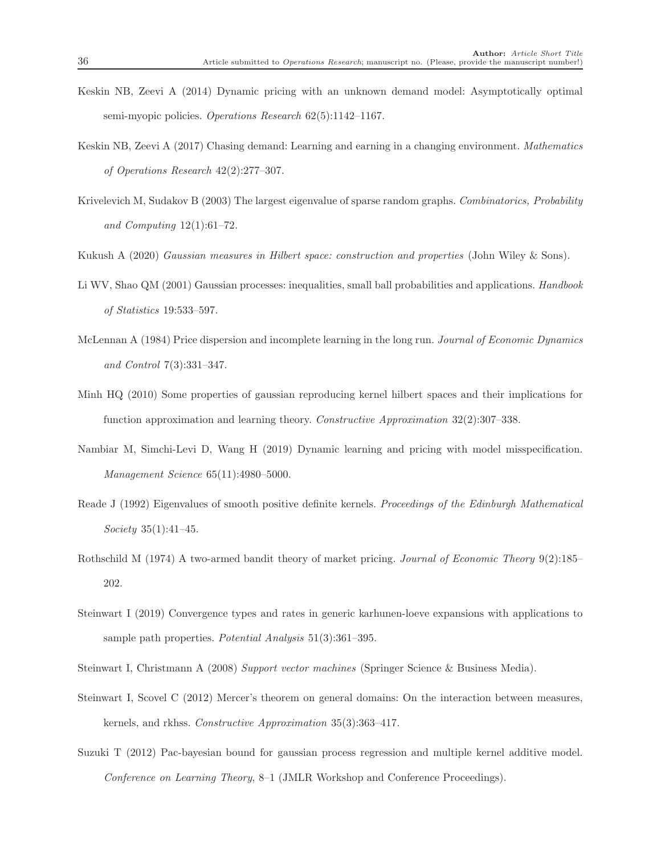- <span id="page-35-4"></span>Keskin NB, Zeevi A (2014) Dynamic pricing with an unknown demand model: Asymptotically optimal semi-myopic policies. *Operations Research* 62(5):1142–1167.
- <span id="page-35-3"></span>Keskin NB, Zeevi A (2017) Chasing demand: Learning and earning in a changing environment. *Mathematics of Operations Research* 42(2):277–307.
- <span id="page-35-10"></span>Krivelevich M, Sudakov B (2003) The largest eigenvalue of sparse random graphs. *Combinatorics, Probability and Computing* 12(1):61–72.
- <span id="page-35-13"></span>Kukush A (2020) *Gaussian measures in Hilbert space: construction and properties* (John Wiley & Sons).
- <span id="page-35-12"></span>Li WV, Shao QM (2001) Gaussian processes: inequalities, small ball probabilities and applications. *Handbook of Statistics* 19:533–597.
- <span id="page-35-1"></span>McLennan A (1984) Price dispersion and incomplete learning in the long run. *Journal of Economic Dynamics and Control* 7(3):331–347.
- <span id="page-35-9"></span>Minh HQ (2010) Some properties of gaussian reproducing kernel hilbert spaces and their implications for function approximation and learning theory. *Constructive Approximation* 32(2):307–338.
- <span id="page-35-2"></span>Nambiar M, Simchi-Levi D, Wang H (2019) Dynamic learning and pricing with model misspecification. *Management Science* 65(11):4980–5000.
- <span id="page-35-11"></span>Reade J (1992) Eigenvalues of smooth positive definite kernels. *Proceedings of the Edinburgh Mathematical Society* 35(1):41–45.
- <span id="page-35-0"></span>Rothschild M (1974) A two-armed bandit theory of market pricing. *Journal of Economic Theory* 9(2):185– 202.
- <span id="page-35-6"></span>Steinwart I (2019) Convergence types and rates in generic karhunen-loeve expansions with applications to sample path properties. *Potential Analysis* 51(3):361–395.
- <span id="page-35-8"></span>Steinwart I, Christmann A (2008) *Support vector machines* (Springer Science & Business Media).
- <span id="page-35-7"></span>Steinwart I, Scovel C (2012) Mercer's theorem on general domains: On the interaction between measures, kernels, and rkhss. *Constructive Approximation* 35(3):363–417.
- <span id="page-35-5"></span>Suzuki T (2012) Pac-bayesian bound for gaussian process regression and multiple kernel additive model. *Conference on Learning Theory*, 8–1 (JMLR Workshop and Conference Proceedings).